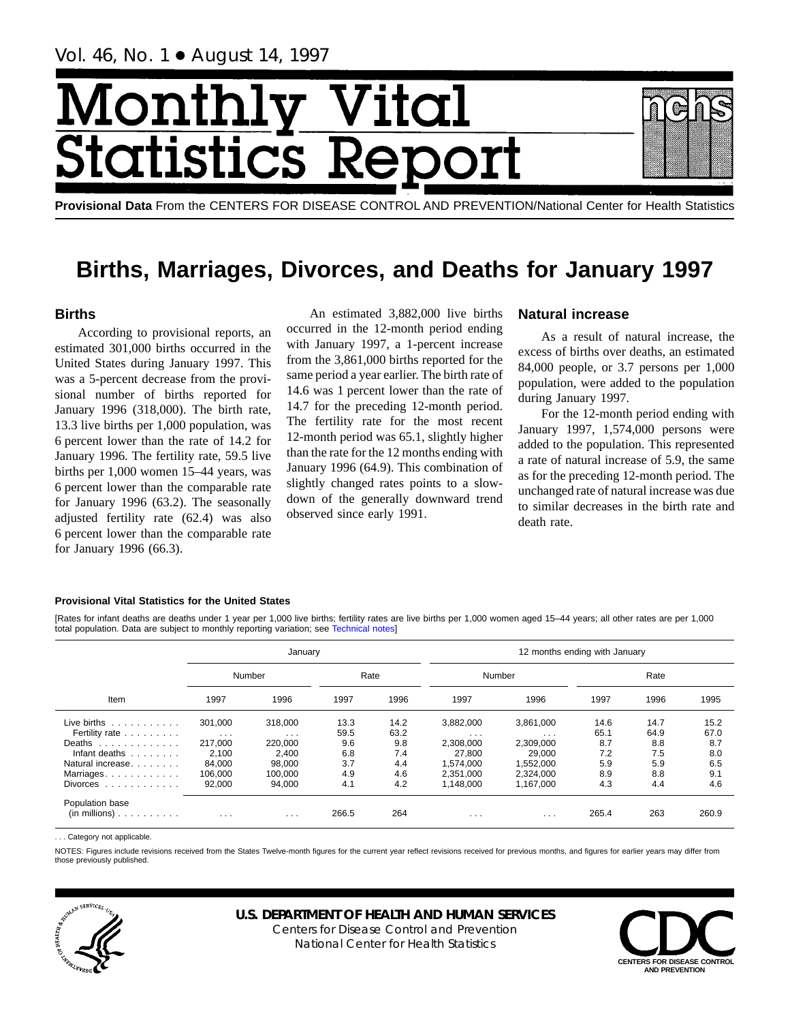Vol. 46, No. 1 ● August 14, 1997

# Monthl <u>Vital</u> tics Rep **Statist**

**Provisional Data** From the CENTERS FOR DISEASE CONTROL AND PREVENTION/National Center for Health Statistics

# **Births, Marriages, Divorces, and Deaths for January 1997**

## **Births**

According to provisional reports, an estimated 301,000 births occurred in the United States during January 1997. This was a 5-percent decrease from the provisional number of births reported for January 1996 (318,000). The birth rate, 13.3 live births per 1,000 population, was 6 percent lower than the rate of 14.2 for January 1996. The fertility rate, 59.5 live births per 1,000 women 15–44 years, was 6 percent lower than the comparable rate for January 1996 (63.2). The seasonally adjusted fertility rate (62.4) was also 6 percent lower than the comparable rate for January 1996 (66.3).

An estimated 3,882,000 live births occurred in the 12-month period ending with January 1997, a 1-percent increase from the 3,861,000 births reported for the same period a year earlier. The birth rate of 14.6 was 1 percent lower than the rate of 14.7 for the preceding 12-month period. The fertility rate for the most recent 12-month period was 65.1, slightly higher than the rate for the 12 months ending with January 1996 (64.9). This combination of slightly changed rates points to a slowdown of the generally downward trend observed since early 1991.

## **Natural increase**

As a result of natural increase, the excess of births over deaths, an estimated 84,000 people, or 3.7 persons per 1,000 population, were added to the population during January 1997.

For the 12-month period ending with January 1997, 1,574,000 persons were added to the population. This represented a rate of natural increase of 5.9, the same as for the preceding 12-month period. The unchanged rate of natural increase was due to similar decreases in the birth rate and death rate.

## **Provisional Vital Statistics for the United States**

[Rates for infant deaths are deaths under 1 year per 1,000 live births; fertility rates are live births per 1,000 women aged 15–44 years; all other rates are per 1,000 total population. Data are subject to monthly reporting variation; see [Technical notes\]](#page-16-0)

|                                                              | January           |                      |       |      |           | 12 months ending with January |       |      |       |  |  |  |  |  |
|--------------------------------------------------------------|-------------------|----------------------|-------|------|-----------|-------------------------------|-------|------|-------|--|--|--|--|--|
|                                                              |                   | Number               |       | Rate |           | Number                        |       | Rate |       |  |  |  |  |  |
| Item                                                         | 1997              | 1996                 | 1997  | 1996 | 1997      | 1996                          | 1997  | 1996 | 1995  |  |  |  |  |  |
| Live births $\ldots$                                         | 301,000           | 318,000              | 13.3  | 14.2 | 3.882.000 | 3.861.000                     | 14.6  | 14.7 | 15.2  |  |  |  |  |  |
| Fertility rate                                               | $\sim$ 100 $\sim$ | $\sim$ $\sim$ $\sim$ | 59.5  | 63.2 | $\cdots$  | $\sim$ $\sim$ $\sim$          | 65.1  | 64.9 | 67.0  |  |  |  |  |  |
| Deaths                                                       | 217,000           | 220,000              | 9.6   | 9.8  | 2,308,000 | 2,309,000                     | 8.7   | 8.8  | 8.7   |  |  |  |  |  |
| Infant deaths                                                | 2.100             | 2.400                | 6.8   | 7.4  | 27.800    | 29.000                        | 7.2   | 7.5  | 8.0   |  |  |  |  |  |
| Natural increase.                                            | 84.000            | 98.000               | 3.7   | 4.4  | 1.574.000 | 1.552.000                     | 5.9   | 5.9  | 6.5   |  |  |  |  |  |
| Marriages                                                    | 106.000           | 100.000              | 4.9   | 4.6  | 2.351.000 | 2.324.000                     | 8.9   | 8.8  | 9.1   |  |  |  |  |  |
| Divorces $\ldots$ , $\ldots$ , $\ldots$                      | 92,000            | 94,000               | 4.1   | 4.2  | 1.148.000 | 1.167.000                     | 4.3   | 4.4  | 4.6   |  |  |  |  |  |
| Population base<br>$(in \text{ millions}) \dots \dots \dots$ | $\cdots$          | $\cdots$             | 266.5 | 264  | $\cdots$  | $\cdot$ $\cdot$ $\cdot$       | 265.4 | 263  | 260.9 |  |  |  |  |  |

... Category not applicable

NOTES: Figures include revisions received from the States Twelve-month figures for the current year reflect revisions received for previous months, and figures for earlier years may differ from those previously published.



## **U.S. DEPARTMENT OF HEALTH AND HUMAN SERVICES**

Centers for Disease Control and Prevention National Center for Health Statistics

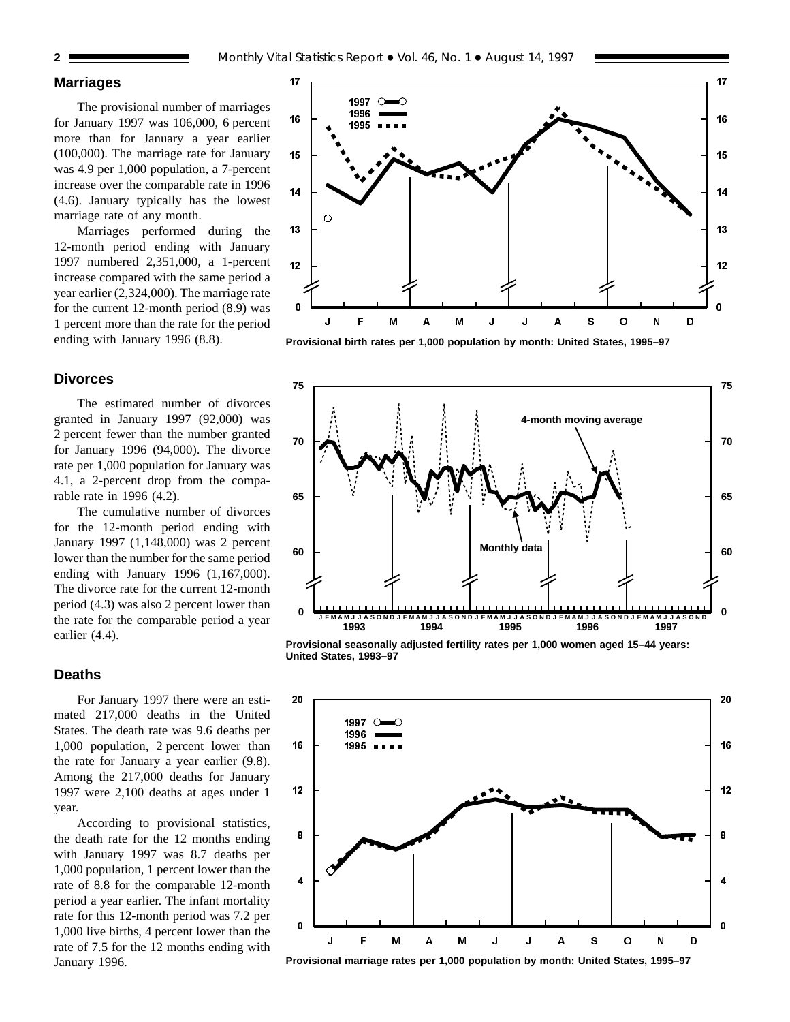## **Marriages**

The provisional number of marriages for January 1997 was 106,000, 6 percent more than for January a year earlier (100,000). The marriage rate for January was 4.9 per 1,000 population, a 7-percent increase over the comparable rate in 1996 (4.6). January typically has the lowest marriage rate of any month.

Marriages performed during the 12-month period ending with January 1997 numbered 2,351,000, a 1-percent increase compared with the same period a year earlier (2,324,000). The marriage rate for the current 12-month period (8.9) was 1 percent more than the rate for the period ending with January 1996 (8.8).

## **Divorces**

The estimated number of divorces granted in January 1997 (92,000) was 2 percent fewer than the number granted for January 1996 (94,000). The divorce rate per 1,000 population for January was 4.1, a 2-percent drop from the comparable rate in 1996 (4.2).

The cumulative number of divorces for the 12-month period ending with January 1997 (1,148,000) was 2 percent lower than the number for the same period ending with January 1996 (1,167,000). The divorce rate for the current 12-month period (4.3) was also 2 percent lower than the rate for the comparable period a year earlier (4.4).

## **Deaths**

For January 1997 there were an estimated 217,000 deaths in the United States. The death rate was 9.6 deaths per 1,000 population, 2 percent lower than the rate for January a year earlier (9.8). Among the 217,000 deaths for January 1997 were 2,100 deaths at ages under 1 year.

According to provisional statistics, the death rate for the 12 months ending with January 1997 was 8.7 deaths per 1,000 population, 1 percent lower than the rate of 8.8 for the comparable 12-month period a year earlier. The infant mortality rate for this 12-month period was 7.2 per 1,000 live births, 4 percent lower than the rate of 7.5 for the 12 months ending with January 1996.



**Provisional birth rates per 1,000 population by month: United States, 1995–97**



**Provisional seasonally adjusted fertility rates per 1,000 women aged 15–44 years: United States, 1993–97**



**Provisional marriage rates per 1,000 population by month: United States, 1995–97**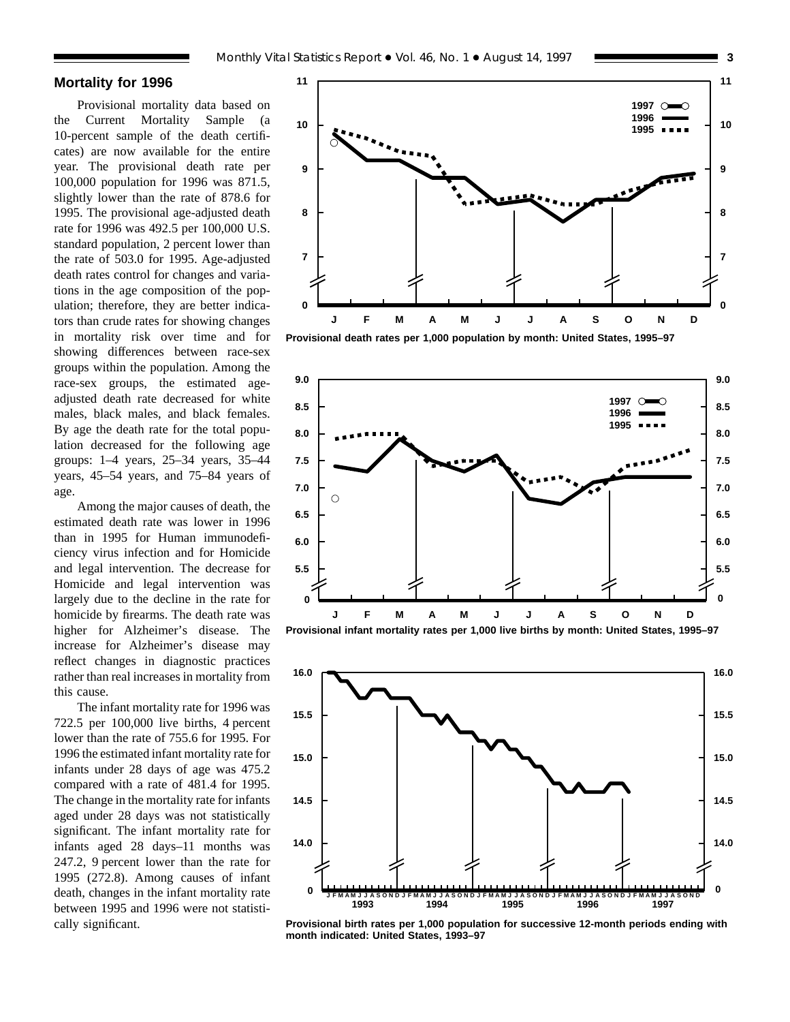## **Mortality for 1996**

Provisional mortality data based on the Current Mortality Sample (a 10-percent sample of the death certificates) are now available for the entire year. The provisional death rate per 100,000 population for 1996 was 871.5, slightly lower than the rate of 878.6 for 1995. The provisional age-adjusted death rate for 1996 was 492.5 per 100,000 U.S. standard population, 2 percent lower than the rate of 503.0 for 1995. Age-adjusted death rates control for changes and variations in the age composition of the population; therefore, they are better indicators than crude rates for showing changes in mortality risk over time and for showing differences between race-sex groups within the population. Among the race-sex groups, the estimated ageadjusted death rate decreased for white males, black males, and black females. By age the death rate for the total population decreased for the following age groups: 1–4 years, 25–34 years, 35–44 years, 45–54 years, and 75–84 years of age.

Among the major causes of death, the estimated death rate was lower in 1996 than in 1995 for Human immunodeficiency virus infection and for Homicide and legal intervention. The decrease for Homicide and legal intervention was largely due to the decline in the rate for homicide by firearms. The death rate was higher for Alzheimer's disease. The increase for Alzheimer's disease may reflect changes in diagnostic practices rather than real increases in mortality from this cause.

The infant mortality rate for 1996 was 722.5 per 100,000 live births, 4 percent lower than the rate of 755.6 for 1995. For 1996 the estimated infant mortality rate for infants under 28 days of age was 475.2 compared with a rate of 481.4 for 1995. The change in the mortality rate for infants aged under 28 days was not statistically significant. The infant mortality rate for infants aged 28 days–11 months was 247.2, 9 percent lower than the rate for 1995 (272.8). Among causes of infant death, changes in the infant mortality rate between 1995 and 1996 were not statistically significant.











**Provisional birth rates per 1,000 population for successive 12-month periods ending with month indicated: United States, 1993–97**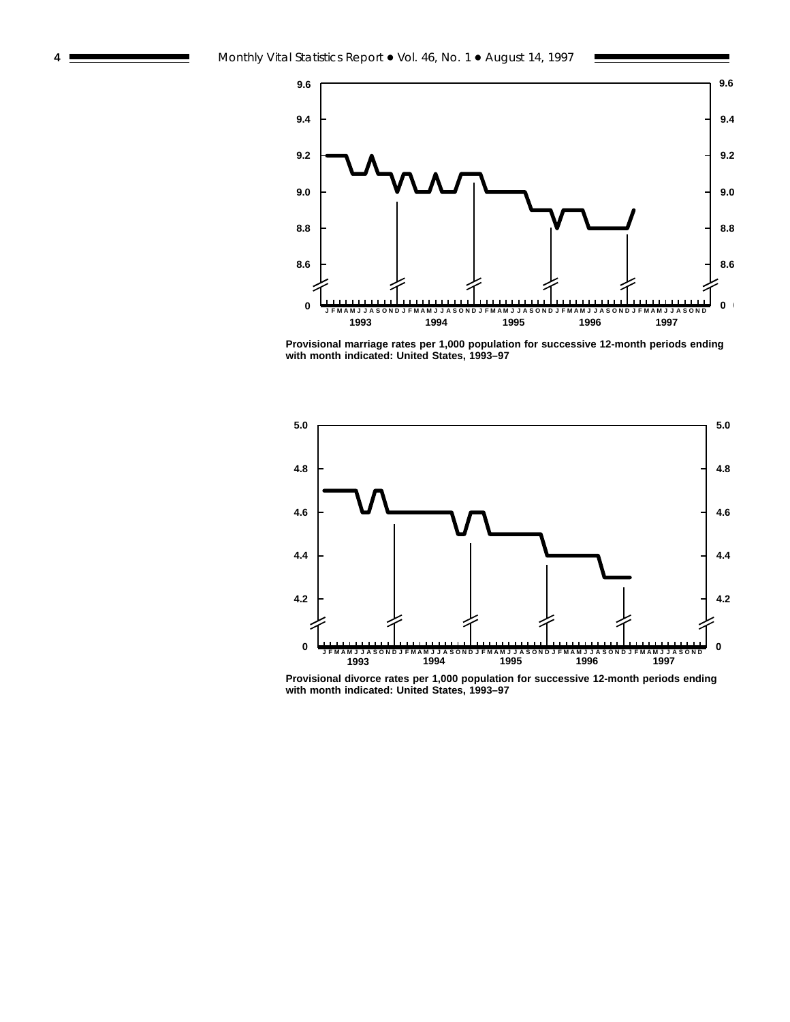

**Provisional marriage rates per 1,000 population for successive 12-month periods ending with month indicated: United States, 1993–97**



**Provisional divorce rates per 1,000 population for successive 12-month periods ending with month indicated: United States, 1993–97**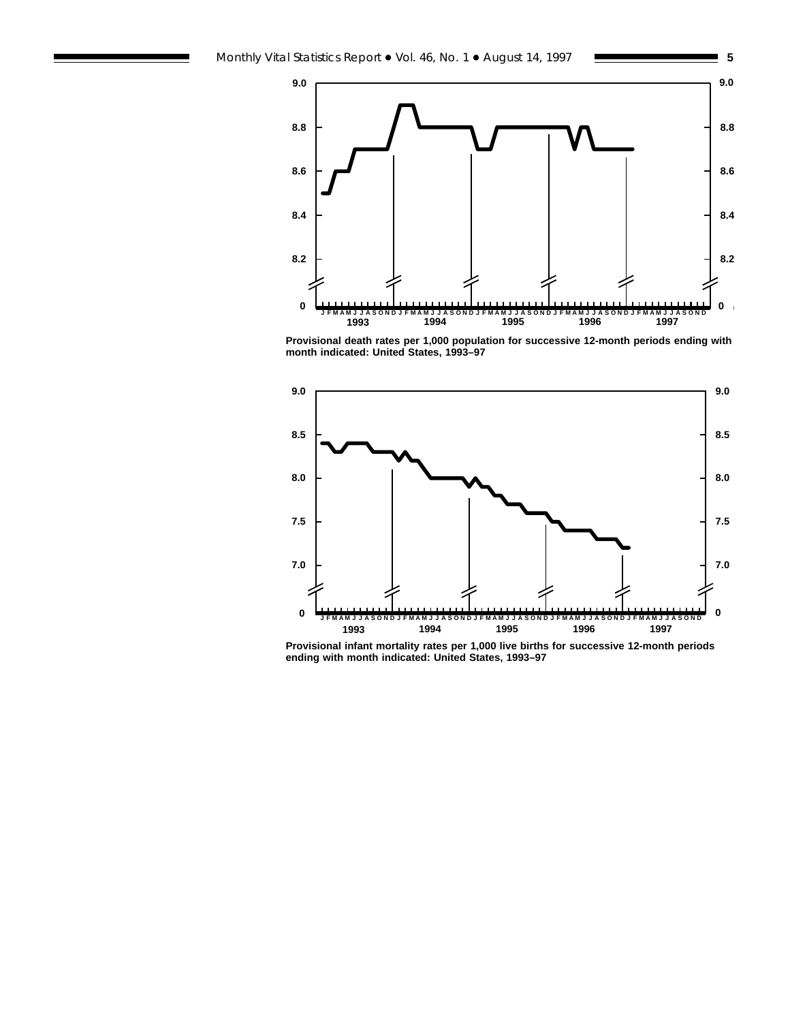



**Provisional death rates per 1,000 population for successive 12-month periods ending with month indicated: United States, 1993–97**



**Provisional infant mortality rates per 1,000 live births for successive 12-month periods ending with month indicated: United States, 1993–97**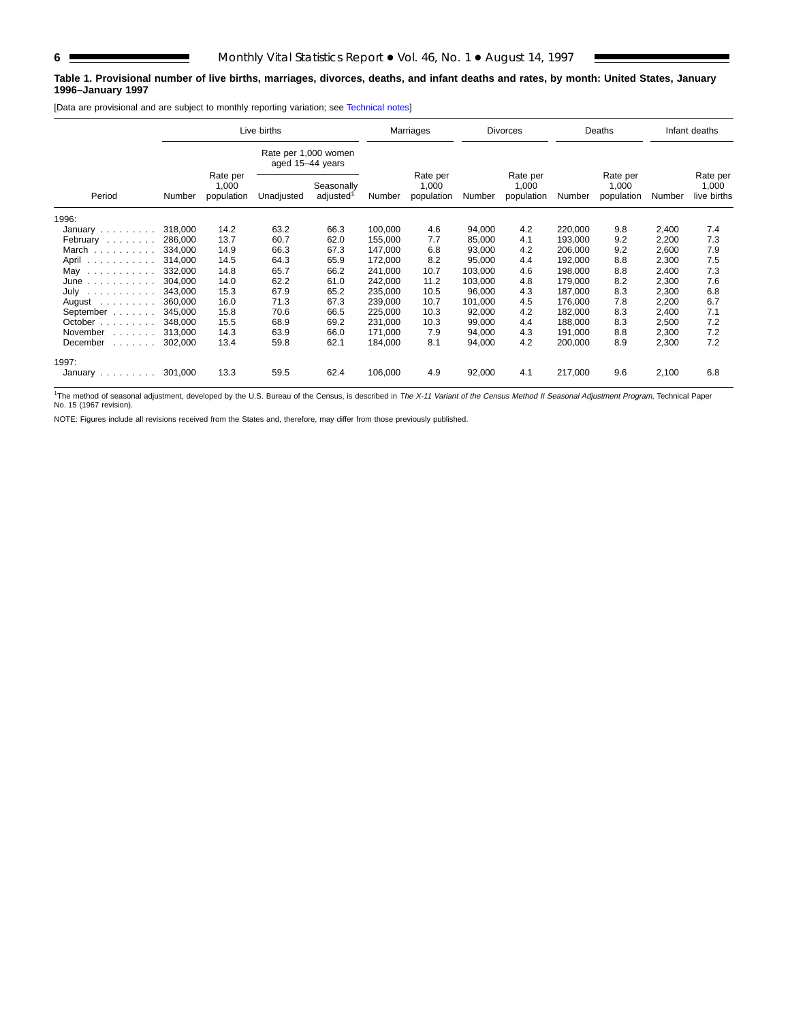## **Table 1. Provisional number of live births, marriages, divorces, deaths, and infant deaths and rates, by month: United States, January 1996–January 1997**

[Data are provisional and are subject to monthly reporting variation; see [Technical notes\]](#page-16-0)

|                                                                   |         | Live births         |            |                                     |         | Marriages                       |         | <b>Divorces</b>                 |         | Deaths                          |        | Infant deaths                    |
|-------------------------------------------------------------------|---------|---------------------|------------|-------------------------------------|---------|---------------------------------|---------|---------------------------------|---------|---------------------------------|--------|----------------------------------|
| Rate per 1,000 women<br>aged 15-44 years<br>Rate per              |         |                     |            |                                     |         |                                 |         |                                 |         |                                 |        |                                  |
| Period                                                            | Number  | 1,000<br>population | Unadjusted | Seasonally<br>adjusted <sup>1</sup> | Number  | Rate per<br>1,000<br>population | Number  | Rate per<br>1,000<br>population | Number  | Rate per<br>1,000<br>population | Number | Rate per<br>1,000<br>live births |
| 1996:                                                             |         |                     |            |                                     |         |                                 |         |                                 |         |                                 |        |                                  |
| January $\ldots \ldots \ldots$                                    | 318,000 | 14.2                | 63.2       | 66.3                                | 100.000 | 4.6                             | 94,000  | 4.2                             | 220,000 | 9.8                             | 2,400  | 7.4                              |
| February                                                          | 286,000 | 13.7                | 60.7       | 62.0                                | 155,000 | 7.7                             | 85,000  | 4.1                             | 193,000 | 9.2                             | 2,200  | 7.3                              |
| March                                                             | 334.000 | 14.9                | 66.3       | 67.3                                | 147,000 | 6.8                             | 93,000  | 4.2                             | 206.000 | 9.2                             | 2,600  | 7.9                              |
| April                                                             | 314.000 | 14.5                | 64.3       | 65.9                                | 172,000 | 8.2                             | 95,000  | 4.4                             | 192,000 | 8.8                             | 2,300  | 7.5                              |
| May<br>$\sim$ 100 km s $\sim$ 100 km s $\sim$ 100 km s $^{-1}$    | 332,000 | 14.8                | 65.7       | 66.2                                | 241,000 | 10.7                            | 103,000 | 4.6                             | 198,000 | 8.8                             | 2,400  | 7.3                              |
| June                                                              | 304,000 | 14.0                | 62.2       | 61.0                                | 242,000 | 11.2                            | 103,000 | 4.8                             | 179,000 | 8.2                             | 2,300  | 7.6                              |
| July                                                              | 343,000 | 15.3                | 67.9       | 65.2                                | 235,000 | 10.5                            | 96,000  | 4.3                             | 187.000 | 8.3                             | 2,300  | 6.8                              |
| August $\ldots$ ,                                                 | 360.000 | 16.0                | 71.3       | 67.3                                | 239,000 | 10.7                            | 101,000 | 4.5                             | 176.000 | 7.8                             | 2,200  | 6.7                              |
| September                                                         | 345.000 | 15.8                | 70.6       | 66.5                                | 225,000 | 10.3                            | 92,000  | 4.2                             | 182,000 | 8.3                             | 2,400  | 7.1                              |
| October $\ldots$                                                  | 348,000 | 15.5                | 68.9       | 69.2                                | 231.000 | 10.3                            | 99,000  | 4.4                             | 188.000 | 8.3                             | 2,500  | 7.2                              |
| November<br>and a state of                                        | 313,000 | 14.3                | 63.9       | 66.0                                | 171,000 | 7.9                             | 94,000  | 4.3                             | 191,000 | 8.8                             | 2,300  | 7.2                              |
| December<br>$\mathbb{Z}^2$ . The set of the set of $\mathbb{Z}^2$ | 302,000 | 13.4                | 59.8       | 62.1                                | 184,000 | 8.1                             | 94,000  | 4.2                             | 200,000 | 8.9                             | 2,300  | 7.2                              |
| 1997:                                                             |         |                     |            |                                     |         |                                 |         |                                 |         |                                 |        |                                  |
| January $\ldots \ldots \ldots$                                    | 301,000 | 13.3                | 59.5       | 62.4                                | 106,000 | 4.9                             | 92,000  | 4.1                             | 217,000 | 9.6                             | 2,100  | 6.8                              |

<sup>1</sup>The method of seasonal adjustment, developed by the U.S. Bureau of the Census, is described in The X-11 Variant of the Census Method II Seasonal Adjustment Program, Technical Paper No. 15 (1967 revision).

NOTE: Figures include all revisions received from the States and, therefore, may differ from those previously published.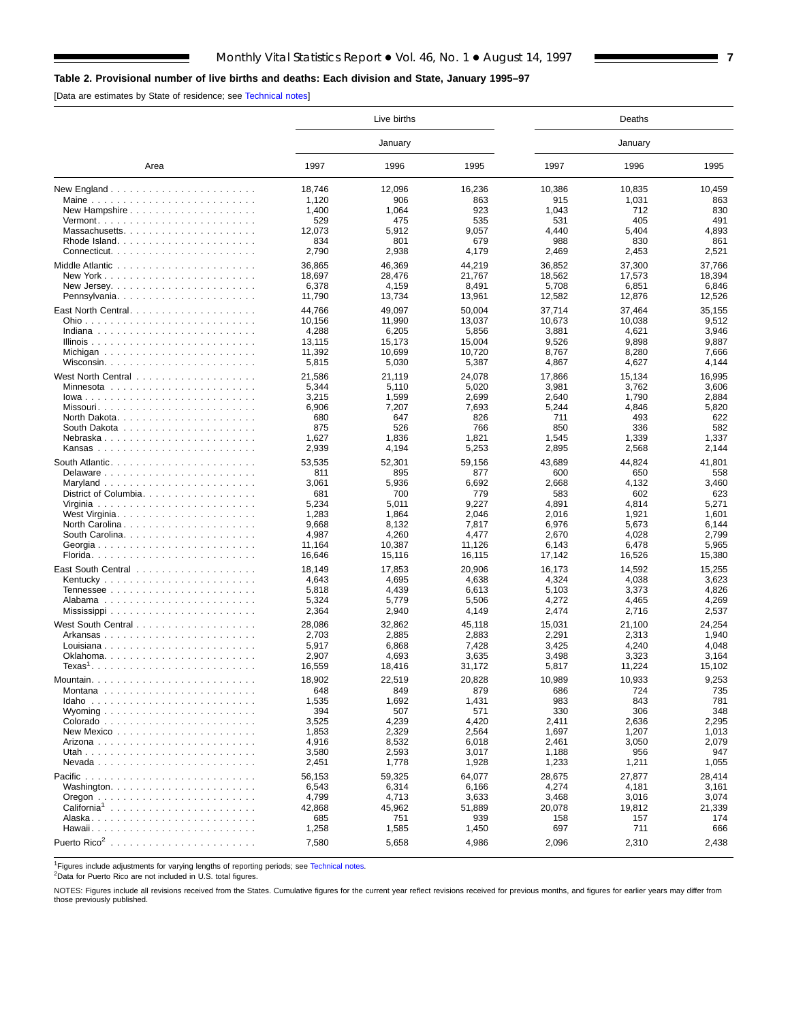## <span id="page-6-0"></span>**Table 2. Provisional number of live births and deaths: Each division and State, January 1995–97**

[Data are estimates by State of residence; see [Technical notes\]](#page-16-0)

|                                                                |        | Live births |        |        |         |        |
|----------------------------------------------------------------|--------|-------------|--------|--------|---------|--------|
|                                                                |        | January     |        |        | January |        |
| Area                                                           | 1997   | 1996        | 1995   | 1997   | 1996    | 1995   |
| New England $\ldots \ldots \ldots \ldots \ldots \ldots \ldots$ | 18,746 | 12,096      | 16,236 | 10,386 | 10,835  | 10,459 |
|                                                                | 1,120  | 906         | 863    | 915    | 1,031   | 863    |
|                                                                | 1,400  | 1,064       | 923    | 1,043  | 712     | 830    |
| $Vermont.$                                                     | 529    | 475         | 535    | 531    | 405     | 491    |
|                                                                | 12,073 | 5,912       | 9.057  | 4.440  | 5,404   | 4,893  |
|                                                                | 834    | 801         | 679    | 988    | 830     | 861    |
|                                                                | 2,790  | 2,938       | 4,179  | 2,469  | 2,453   | 2,521  |
|                                                                | 36,865 | 46,369      | 44,219 | 36,852 | 37,300  | 37,766 |
|                                                                | 18,697 | 28,476      | 21,767 | 18,562 | 17,573  | 18,394 |
|                                                                | 6,378  | 4,159       | 8,491  | 5,708  | 6,851   | 6,846  |
|                                                                | 11,790 | 13,734      | 13,961 | 12,582 | 12,876  | 12,526 |
|                                                                | 44,766 | 49,097      | 50,004 | 37,714 | 37,464  | 35,155 |
|                                                                | 10,156 | 11,990      | 13,037 | 10,673 | 10,038  | 9,512  |
|                                                                | 4,288  | 6,205       | 5,856  | 3,881  | 4,621   | 3,946  |
|                                                                | 13,115 | 15,173      | 15,004 | 9,526  | 9,898   | 9,887  |
|                                                                | 11,392 | 10,699      | 10,720 | 8,767  | 8,280   | 7,666  |
|                                                                | 5,815  | 5,030       | 5,387  | 4,867  | 4,627   | 4,144  |
|                                                                |        |             |        |        |         |        |
|                                                                | 21,586 | 21,119      | 24,078 | 17,866 | 15,134  | 16,995 |
|                                                                | 5,344  | 5,110       | 5,020  | 3,981  | 3,762   | 3,606  |
| $lowa$                                                         | 3,215  | 1,599       | 2,699  | 2,640  | 1,790   | 2,884  |
| Missouri                                                       | 6,906  | 7,207       | 7,693  | 5,244  | 4,846   | 5,820  |
|                                                                | 680    | 647         | 826    | 711    | 493     | 622    |
|                                                                | 875    | 526         | 766    | 850    | 336     | 582    |
| Nebraska                                                       | 1,627  | 1,836       | 1,821  | 1,545  | 1,339   | 1,337  |
|                                                                | 2,939  | 4,194       | 5,253  | 2,895  | 2,568   | 2,144  |
|                                                                | 53,535 | 52,301      | 59,156 | 43,689 | 44,824  | 41,801 |
|                                                                | 811    | 895         | 877    | 600    | 650     | 558    |
|                                                                | 3,061  | 5,936       | 6,692  | 2,668  | 4,132   | 3,460  |
| District of Columbia                                           | 681    | 700         | 779    | 583    | 602     | 623    |
|                                                                | 5,234  | 5.011       | 9,227  | 4,891  | 4,814   | 5,271  |
|                                                                | 1,283  | 1,864       | 2,046  | 2,016  | 1,921   | 1,601  |
| North Carolina                                                 | 9,668  | 8,132       | 7,817  | 6,976  | 5,673   | 6,144  |
|                                                                | 4,987  | 4,260       | 4.477  | 2,670  | 4,028   | 2.799  |
|                                                                | 11,164 | 10,387      | 11,126 | 6,143  | 6,478   | 5,965  |
|                                                                | 16,646 | 15,116      | 16,115 | 17,142 | 16,526  | 15,380 |
|                                                                | 18,149 |             | 20,906 |        | 14,592  |        |
|                                                                |        | 17,853      |        | 16,173 |         | 15,255 |
|                                                                | 4,643  | 4,695       | 4,638  | 4,324  | 4,038   | 3,623  |
|                                                                | 5,818  | 4,439       | 6,613  | 5,103  | 3,373   | 4,826  |
|                                                                | 5,324  | 5,779       | 5,506  | 4,272  | 4,465   | 4,269  |
|                                                                | 2,364  | 2,940       | 4,149  | 2,474  | 2,716   | 2,537  |
|                                                                | 28,086 | 32,862      | 45,118 | 15,031 | 21,100  | 24,254 |
|                                                                | 2,703  | 2,885       | 2,883  | 2,291  | 2,313   | 1,940  |
| Louisiana                                                      | 5,917  | 6,868       | 7,428  | 3,425  | 4,240   | 4,048  |
|                                                                | 2,907  | 4,693       | 3,635  | 3,498  | 3,323   | 3,164  |
| $Texas1$                                                       | 16,559 | 18,416      | 31,172 | 5,817  | 11,224  | 15,102 |
|                                                                | 18.902 | 22.519      | 20,828 | 10.989 | 10.933  | 9.253  |
| Montana                                                        | 648    | 849         | 879    | 686    | 724     | 735    |
|                                                                | 1,535  | 1,692       | 1,431  | 983    | 843     | 781    |
| Wyoming $\ldots \ldots \ldots \ldots \ldots \ldots$            | 394    | 507         | 571    | 330    | 306     | 348    |
|                                                                | 3,525  | 4,239       | 4,420  | 2,411  | 2,636   | 2,295  |
|                                                                | 1,853  | 2,329       | 2,564  | 1,697  | 1,207   | 1,013  |
|                                                                | 4,916  | 8,532       | 6,018  | 2,461  | 3,050   | 2,079  |
|                                                                | 3,580  | 2,593       | 3,017  | 1,188  | 956     | 947    |
|                                                                | 2,451  | 1,778       | 1,928  | 1,233  | 1,211   | 1,055  |
|                                                                |        |             |        |        |         |        |
|                                                                | 56,153 | 59,325      | 64,077 | 28,675 | 27,877  | 28,414 |
|                                                                | 6,543  | 6,314       | 6,166  | 4,274  | 4,181   | 3,161  |
|                                                                | 4,799  | 4,713       | 3,633  | 3,468  | 3,016   | 3,074  |
|                                                                | 42,868 | 45,962      | 51,889 | 20,078 | 19,812  | 21,339 |
|                                                                | 685    | 751         | 939    | 158    | 157     | 174    |
|                                                                | 1,258  | 1,585       | 1,450  | 697    | 711     | 666    |
|                                                                | 7,580  | 5,658       | 4,986  | 2,096  | 2,310   | 2,438  |
|                                                                |        |             |        |        |         |        |

<sup>1</sup>Figures include adjustments for varying lengths of reporting periods; see [Technical notes.](#page-16-0)<br><sup>2</sup>Data for Puerto Rico are not included in U.S. total figures.

NOTES: Figures include all revisions received from the States. Cumulative figures for the current year reflect revisions received for previous months, and figures for earlier years may differ from those previously published.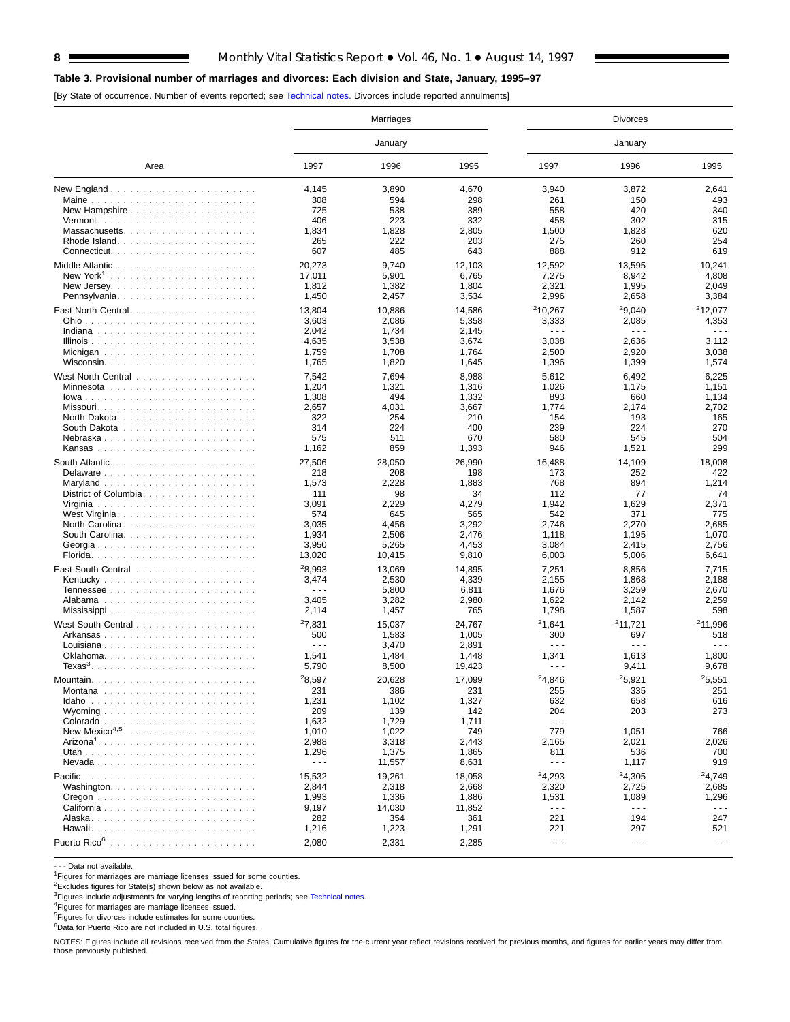## **Table 3. Provisional number of marriages and divorces: Each division and State, January, 1995–97**

[By State of occurrence. Number of events reported; see [Technical notes.](#page-16-0) Divorces include reported annulments]

|                                                                |                      | Marriages    |                |                      | <b>Divorces</b>      |                      |  |  |
|----------------------------------------------------------------|----------------------|--------------|----------------|----------------------|----------------------|----------------------|--|--|
|                                                                |                      | January      |                |                      | January              |                      |  |  |
| Area                                                           | 1997                 | 1996         | 1995           | 1997                 | 1996                 | 1995                 |  |  |
| New England $\ldots \ldots \ldots \ldots \ldots \ldots \ldots$ | 4,145                | 3,890        | 4,670          | 3,940                | 3,872                | 2,641                |  |  |
|                                                                | 308                  | 594          | 298            | 261                  | 150                  | 493                  |  |  |
| New Hampshire                                                  | 725                  | 538          | 389            | 558                  | 420                  | 340                  |  |  |
|                                                                | 406                  | 223          | 332            | 458                  | 302                  | 315                  |  |  |
| Massachusetts                                                  | 1,834                | 1,828        | 2,805          | 1,500                | 1,828                | 620                  |  |  |
|                                                                | 265                  | 222          | 203            | 275                  | 260                  | 254                  |  |  |
|                                                                | 607                  | 485          | 643            | 888                  | 912                  | 619                  |  |  |
|                                                                | 20,273               | 9,740        | 12,103         | 12,592               | 13,595               | 10,241               |  |  |
|                                                                | 17,011               | 5,901        | 6,765          | 7,275                | 8,942                | 4,808                |  |  |
|                                                                | 1,812                | 1,382        | 1,804          | 2,321                | 1,995                | 2,049                |  |  |
| Pennsylvania                                                   | 1,450                | 2,457        | 3,534          | 2,996                | 2,658                | 3,384                |  |  |
|                                                                | 13,804               | 10,886       | 14,586         | 210,267              | 29.040               | <sup>2</sup> 12,077  |  |  |
|                                                                | 3,603                | 2,086        | 5,358          | 3,333                | 2,085                | 4,353                |  |  |
|                                                                | 2,042                | 1,734        | 2,145          | $\sim$ $\sim$ $\sim$ | $\sim$ $\sim$ $\sim$ | .                    |  |  |
|                                                                | 4,635                | 3,538        | 3,674          | 3,038                | 2,636                | 3,112                |  |  |
|                                                                | 1,759                | 1,708        | 1,764          | 2,500                | 2,920                | 3,038                |  |  |
|                                                                | 1,765                | 1,820        | 1,645          | 1,396                | 1,399                | 1,574                |  |  |
|                                                                |                      |              |                |                      |                      |                      |  |  |
|                                                                | 7,542                | 7,694        | 8,988          | 5,612                | 6,492                | 6,225                |  |  |
|                                                                | 1,204                | 1,321<br>494 | 1,316          | 1,026                | 1,175                | 1,151                |  |  |
|                                                                | 1,308<br>2,657       | 4,031        | 1,332<br>3,667 | 893<br>1,774         | 660<br>2,174         | 1,134<br>2,702       |  |  |
|                                                                | 322                  | 254          | 210            | 154                  | 193                  | 165                  |  |  |
|                                                                | 314                  | 224          | 400            | 239                  | 224                  | 270                  |  |  |
| Nebraska                                                       | 575                  | 511          | 670            | 580                  | 545                  | 504                  |  |  |
|                                                                | 1,162                | 859          | 1,393          | 946                  | 1,521                | 299                  |  |  |
|                                                                |                      |              |                |                      |                      |                      |  |  |
|                                                                | 27,506               | 28,050       | 26,990         | 16,488               | 14,109               | 18,008               |  |  |
|                                                                | 218                  | 208          | 198            | 173                  | 252                  | 422                  |  |  |
|                                                                | 1,573                | 2,228        | 1,883          | 768                  | 894                  | 1,214                |  |  |
| District of Columbia                                           | 111                  | 98           | 34             | 112                  | 77                   | 74                   |  |  |
|                                                                | 3,091                | 2,229        | 4,279          | 1,942                | 1,629                | 2,371                |  |  |
|                                                                | 574<br>3,035         | 645<br>4,456 | 565<br>3,292   | 542<br>2,746         | 371<br>2,270         | 775<br>2,685         |  |  |
| North Carolina                                                 | 1,934                | 2,506        | 2,476          | 1,118                | 1,195                | 1,070                |  |  |
|                                                                | 3,950                | 5,265        | 4,453          | 3,084                | 2,415                | 2,756                |  |  |
|                                                                | 13,020               | 10,415       | 9,810          | 6,003                | 5,006                | 6,641                |  |  |
|                                                                |                      |              |                |                      |                      |                      |  |  |
|                                                                | 28,993               | 13,069       | 14,895         | 7,251                | 8,856                | 7,715                |  |  |
|                                                                | 3,474                | 2,530        | 4,339          | 2,155                | 1,868                | 2,188                |  |  |
|                                                                | $\sim$ $\sim$ $\sim$ | 5,800        | 6,811          | 1,676                | 3,259                | 2,670                |  |  |
|                                                                | 3,405                | 3,282        | 2,980          | 1,622                | 2,142                | 2,259                |  |  |
|                                                                | 2,114                | 1,457        | 765            | 1,798                | 1,587                | 598                  |  |  |
|                                                                | 27,831               | 15,037       | 24,767         | 21,641               | 211,721              | <sup>2</sup> 11,996  |  |  |
| Arkansas                                                       | 500                  | 1,583        | 1,005          | 300                  | 697                  | 518                  |  |  |
|                                                                | $\sim$ $\sim$ $\sim$ | 3,470        | 2,891          | $\sim$ $\sim$ $\sim$ | $- - -$              | .                    |  |  |
|                                                                | 1,541                | 1,484        | 1,448          | 1,341                | 1,613                | 1,800                |  |  |
|                                                                | 5,790                | 8,500        | 19,423         | $\sim$ $\sim$ $\sim$ | 9,411                | 9,678                |  |  |
| Mountain.                                                      | <sup>2</sup> 8.597   | 20,628       | 17,099         | 24.846               | 25.921               | 25,551               |  |  |
|                                                                | 231                  | 386          | 231            | 255                  | 335                  | 251                  |  |  |
|                                                                | 1,231                | 1,102        | 1,327          | 632                  | 658                  | 616                  |  |  |
|                                                                | 209                  | 139          | 142            | 204                  | 203                  | 273                  |  |  |
|                                                                | 1,632                | 1,729        | 1,711          | $\sim$ $\sim$ $\sim$ | $\sim$ $\sim$ $\sim$ | $\sim$ $\sim$ $\sim$ |  |  |
| New Mexico <sup>4,5</sup>                                      | 1,010                | 1,022        | 749            | 779                  | 1,051                | 766                  |  |  |
|                                                                | 2,988                | 3,318        | 2,443          | 2,165                | 2,021                | 2,026                |  |  |
|                                                                | 1,296                | 1,375        | 1,865          | 811                  | 536                  | 700                  |  |  |
|                                                                | $\sim$ $\sim$ $\sim$ | 11,557       | 8,631          | $- - -$              | 1,117                | 919                  |  |  |
|                                                                | 15,532               | 19,261       | 18,058         | 24,293               | 24,305               | <sup>2</sup> 4,749   |  |  |
|                                                                | 2,844                | 2,318        | 2,668          | 2,320                | 2,725                | 2,685                |  |  |
|                                                                | 1,993                | 1,336        | 1,886          | 1,531                | 1,089                | 1,296                |  |  |
|                                                                | 9,197                | 14,030       | 11,852         | $\sim$ $\sim$ $\sim$ | $  -$                | - - -                |  |  |
|                                                                | 282                  | 354          | 361            | 221                  | 194                  | 247                  |  |  |
|                                                                | 1,216                | 1,223        | 1,291          | 221                  | 297                  | 521                  |  |  |
|                                                                | 2,080                | 2,331        | 2,285          | $\sim$ $\sim$ $\sim$ | $- - -$              | - - -                |  |  |
|                                                                |                      |              |                |                      |                      |                      |  |  |

- - - Data not available.

<sup>1</sup>Figures for marriages are marriage licenses issued for some counties.

<sup>2</sup>Excludes figures for State(s) shown below as not available.

<sup>3</sup>Figures include adjustments for varying lengths of reporting periods; see [Technical notes.](#page-16-0)<br><sup>4</sup>Figures for marriages are marriage licenses issued.

5Figures for divorces include estimates for some counties.

<sup>6</sup>Data for Puerto Rico are not included in U.S. total figures.

NOTES: Figures include all revisions received from the States. Cumulative figures for the current year reflect revisions received for previous months, and figures for earlier years may differ from those previously published.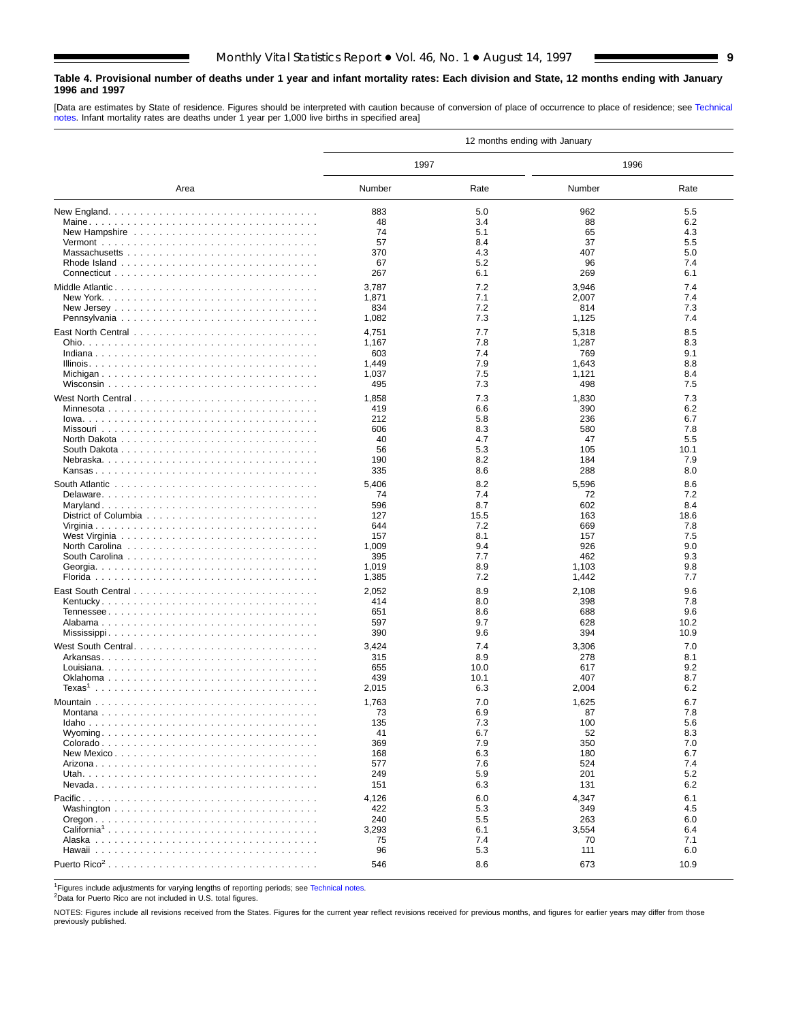### <span id="page-8-0"></span>**Table 4. Provisional number of deaths under 1 year and infant mortality rates: Each division and State, 12 months ending with January 1996 and 1997**

[Data are estimates by State of residence. Figures should be interpreted with caution because of conversion of place of occurrence to place of residence; see [Technical](#page-16-0) [notes. I](#page-16-0)nfant mortality rates are deaths under 1 year per 1,000 live births in specified area]

|                                                                                                                            | 12 months ending with January |            |                |            |  |  |  |  |  |
|----------------------------------------------------------------------------------------------------------------------------|-------------------------------|------------|----------------|------------|--|--|--|--|--|
|                                                                                                                            | 1997                          |            | 1996           |            |  |  |  |  |  |
| Area                                                                                                                       | Number                        | Rate       | Number         | Rate       |  |  |  |  |  |
|                                                                                                                            | 883                           | 5.0        | 962            | 5.5        |  |  |  |  |  |
|                                                                                                                            | 48                            | 3.4        | 88             | 6.2        |  |  |  |  |  |
|                                                                                                                            | 74                            | 5.1        | 65             | 4.3        |  |  |  |  |  |
|                                                                                                                            | 57                            | 8.4        | 37             | 5.5        |  |  |  |  |  |
|                                                                                                                            | 370                           | 4.3        | 407            | 5.0        |  |  |  |  |  |
|                                                                                                                            | 67                            | 5.2        | 96             | 7.4        |  |  |  |  |  |
|                                                                                                                            | 267                           | 6.1        | 269            | 6.1        |  |  |  |  |  |
|                                                                                                                            | 3,787                         | 7.2        | 3,946          | 7.4        |  |  |  |  |  |
|                                                                                                                            | 1,871                         | 7.1        | 2,007          | 7.4        |  |  |  |  |  |
|                                                                                                                            | 834                           | 7.2        | 814            | 7.3        |  |  |  |  |  |
|                                                                                                                            | 1,082                         | 7.3        | 1,125          | 7.4        |  |  |  |  |  |
|                                                                                                                            | 4,751                         | 7.7        | 5,318          | 8.5        |  |  |  |  |  |
|                                                                                                                            | 1,167                         | 7.8        | 1,287          | 8.3        |  |  |  |  |  |
|                                                                                                                            | 603                           | 7.4        | 769            | 9.1        |  |  |  |  |  |
|                                                                                                                            | 1,449<br>1,037                | 7.9<br>7.5 | 1,643          | 8.8<br>8.4 |  |  |  |  |  |
|                                                                                                                            | 495                           | 7.3        | 1,121<br>498   | 7.5        |  |  |  |  |  |
|                                                                                                                            |                               |            |                |            |  |  |  |  |  |
| West North Central                                                                                                         | 1,858                         | 7.3        | 1,830          | 7.3        |  |  |  |  |  |
|                                                                                                                            | 419<br>212                    | 6.6<br>5.8 | 390<br>236     | 6.2<br>6.7 |  |  |  |  |  |
|                                                                                                                            | 606                           | 8.3        | 580            | 7.8        |  |  |  |  |  |
|                                                                                                                            | 40                            | 4.7        | 47             | 5.5        |  |  |  |  |  |
|                                                                                                                            | 56                            | 5.3        | 105            | 10.1       |  |  |  |  |  |
|                                                                                                                            | 190                           | 8.2        | 184            | 7.9        |  |  |  |  |  |
|                                                                                                                            | 335                           | 8.6        | 288            | 8.0        |  |  |  |  |  |
| South Atlantic $\ldots$ , $\ldots$ , $\ldots$ , $\ldots$ , $\ldots$ , $\ldots$ , $\ldots$ , $\ldots$ , $\ldots$ , $\ldots$ | 5,406                         | 8.2        | 5,596          | 8.6        |  |  |  |  |  |
|                                                                                                                            | 74                            | 7.4        | 72             | 7.2        |  |  |  |  |  |
|                                                                                                                            | 596                           | 8.7        | 602            | 8.4        |  |  |  |  |  |
|                                                                                                                            | 127                           | 15.5       | 163            | 18.6       |  |  |  |  |  |
|                                                                                                                            | 644                           | 7.2        | 669            | 7.8        |  |  |  |  |  |
|                                                                                                                            | 157                           | 8.1        | 157            | 7.5        |  |  |  |  |  |
|                                                                                                                            | 1,009                         | 9.4        | 926            | 9.0        |  |  |  |  |  |
| South Carolina $\ldots \ldots \ldots \ldots \ldots \ldots \ldots \ldots \ldots \ldots$                                     | 395                           | 7.7        | 462            | 9.3        |  |  |  |  |  |
|                                                                                                                            | 1,019<br>1,385                | 8.9<br>7.2 | 1,103<br>1,442 | 9.8<br>7.7 |  |  |  |  |  |
|                                                                                                                            |                               |            |                |            |  |  |  |  |  |
|                                                                                                                            | 2,052                         | 8.9        | 2,108          | 9.6        |  |  |  |  |  |
|                                                                                                                            | 414<br>651                    | 8.0<br>8.6 | 398<br>688     | 7.8<br>9.6 |  |  |  |  |  |
|                                                                                                                            | 597                           | 9.7        | 628            | 10.2       |  |  |  |  |  |
|                                                                                                                            | 390                           | 9.6        | 394            | 10.9       |  |  |  |  |  |
| West South Central                                                                                                         | 3,424                         | 7.4        | 3,306          | 7.0        |  |  |  |  |  |
|                                                                                                                            | 315                           | 8.9        | 278            | 8.1        |  |  |  |  |  |
|                                                                                                                            | 655                           | 10.0       | 617            | 9.2        |  |  |  |  |  |
|                                                                                                                            | 439                           | 10.1       | 407            | 8.7        |  |  |  |  |  |
| Texas $^1$                                                                                                                 | 2,015                         | 6.3        | 2,004          | 6.2        |  |  |  |  |  |
|                                                                                                                            | 1,763                         | 7.0        | 1,625          | 6.7        |  |  |  |  |  |
|                                                                                                                            | 73                            | 6.9        | 87             | 7.8        |  |  |  |  |  |
|                                                                                                                            | 135                           | 7.3        | 100            | 5.6        |  |  |  |  |  |
|                                                                                                                            | 41                            | 6.7        | 52             | 8.3        |  |  |  |  |  |
|                                                                                                                            | 369                           | 7.9        | 350            | 7.0        |  |  |  |  |  |
|                                                                                                                            | 168                           | 6.3        | 180            | 6.7        |  |  |  |  |  |
|                                                                                                                            | 577<br>249                    | 7.6        | 524<br>201     | 7.4<br>5.2 |  |  |  |  |  |
|                                                                                                                            | 151                           | 5.9<br>6.3 | 131            | 6.2        |  |  |  |  |  |
|                                                                                                                            |                               |            |                |            |  |  |  |  |  |
|                                                                                                                            | 4,126                         | 6.0        | 4,347          | 6.1        |  |  |  |  |  |
|                                                                                                                            | 422<br>240                    | 5.3<br>5.5 | 349<br>263     | 4.5<br>6.0 |  |  |  |  |  |
|                                                                                                                            | 3,293                         | 6.1        | 3,554          | 6.4        |  |  |  |  |  |
|                                                                                                                            | 75                            | 7.4        | 70             | 7.1        |  |  |  |  |  |
|                                                                                                                            | 96                            | 5.3        | 111            | 6.0        |  |  |  |  |  |
| Puerto Rico <sup>2</sup>                                                                                                   | 546                           | 8.6        | 673            | 10.9       |  |  |  |  |  |
|                                                                                                                            |                               |            |                |            |  |  |  |  |  |

1Figures include adjustments for varying lengths of reporting periods; see [Technical notes.](#page-16-0)

2Data for Puerto Rico are not included in U.S. total figures.

NOTES: Figures include all revisions received from the States. Figures for the current year reflect revisions received for previous months, and figures for earlier years may differ from those previously published.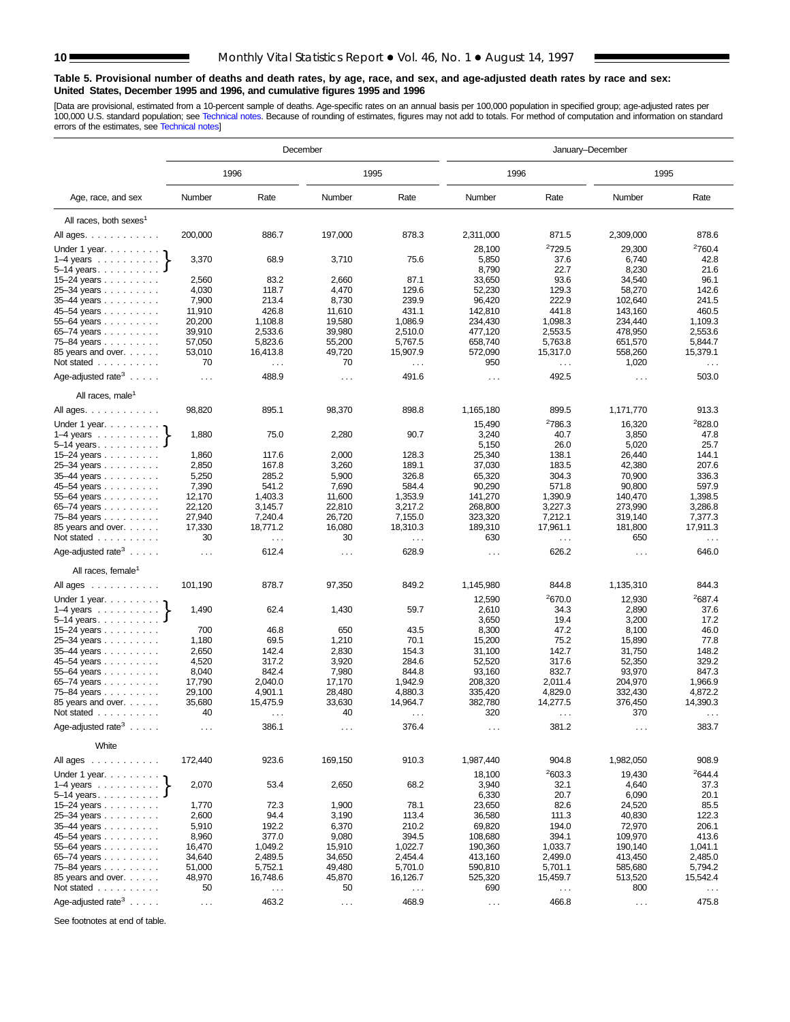#### <span id="page-9-0"></span>**Table 5. Provisional number of deaths and death rates, by age, race, and sex, and age-adjusted death rates by race and sex: United States, December 1995 and 1996, and cumulative figures 1995 and 1996**

[Data are provisional, esti[mated from a 10-percent sample](#page-16-0) of deaths. Age-specific rates on an annual basis per 100,000 population in specified group; age-adjusted rates per<br>100,000 U.S. standard population; see Technical n

|                                                                            |                      |                    | December             |                               | January-December              |                      |                    |                    |  |
|----------------------------------------------------------------------------|----------------------|--------------------|----------------------|-------------------------------|-------------------------------|----------------------|--------------------|--------------------|--|
|                                                                            |                      | 1996               |                      | 1995                          | 1996                          |                      | 1995               |                    |  |
| Age, race, and sex                                                         | Number               | Rate               | Number               | Rate                          | Number                        | Rate                 | Number             | Rate               |  |
| All races, both sexes <sup>1</sup>                                         |                      |                    |                      |                               |                               |                      |                    |                    |  |
| All ages.                                                                  | 200,000              | 886.7              | 197,000              | 878.3                         | 2,311,000                     | 871.5                | 2,309,000          | 878.6              |  |
| Under 1 year.                                                              |                      |                    |                      |                               | 28,100                        | 2729.5               | 29,300             | 2760.4             |  |
| $1-4$ years $\ldots$ $\ldots$ $\ldots$                                     | 3,370                | 68.9               | 3,710                | 75.6                          | 5,850                         | 37.6                 | 6,740              | 42.8               |  |
| $5 - 14$ years.                                                            |                      |                    |                      |                               | 8,790                         | 22.7                 | 8,230              | 21.6               |  |
| 15–24 years                                                                | 2,560                | 83.2               | 2,660                | 87.1                          | 33,650                        | 93.6                 | 34,540             | 96.1               |  |
| 25-34 years                                                                | 4,030                | 118.7              | 4,470                | 129.6                         | 52,230                        | 129.3                | 58,270             | 142.6              |  |
| $35-44$ years $\ldots$ $\ldots$ .                                          | 7,900                | 213.4              | 8,730                | 239.9                         | 96,420                        | 222.9                | 102,640            | 241.5              |  |
| 45–54 years                                                                | 11,910               | 426.8              | 11,610               | 431.1                         | 142,810                       | 441.8                | 143,160            | 460.5              |  |
| 55-64 years                                                                | 20,200<br>39,910     | 1,108.8<br>2,533.6 | 19,580<br>39,980     | 1,086.9<br>2,510.0            | 234,430<br>477,120            | 1,098.3<br>2,553.5   | 234,440<br>478,950 | 1,109.3<br>2,553.6 |  |
| 65–74 years<br>75–84 years $\ldots$                                        | 57,050               | 5,823.6            | 55,200               | 5,767.5                       | 658,740                       | 5,763.8              | 651,570            | 5,844.7            |  |
| 85 years and over.                                                         | 53,010               | 16,413.8           | 49,720               | 15,907.9                      | 572,090                       | 15,317.0             | 558,260            | 15,379.1           |  |
| Not stated $\ldots$                                                        | 70                   | $\sim$ .           | 70                   | $\ldots$                      | 950                           | $\sim$ $\sim$        | 1,020              | $\ldots$           |  |
| Age-adjusted rate <sup>3</sup> $\ldots$ .                                  | $\sim$ $\sim$ $\sim$ | 488.9              | $\sim$ $\sim$        | 491.6                         | $\sim$ $\sim$                 | 492.5                | $\sim$ .           | 503.0              |  |
| All races, male <sup>1</sup>                                               |                      |                    |                      |                               |                               |                      |                    |                    |  |
| All ages.                                                                  | 98,820               | 895.1              | 98,370               | 898.8                         | 1,165,180                     | 899.5                | 1,171,770          | 913.3              |  |
| Under 1 year.                                                              |                      |                    |                      |                               | 15,490                        | <sup>2</sup> 786.3   | 16,320             | 2828.0             |  |
| $1-4$ years                                                                | 1,880                | 75.0               | 2,280                | 90.7                          | 3,240                         | 40.7                 | 3,850              | 47.8               |  |
| $5 - 14$ years                                                             |                      |                    |                      |                               | 5,150                         | 26.0                 | 5,020              | 25.7               |  |
| 15-24 years                                                                | 1,860                | 117.6              | 2,000                | 128.3                         | 25,340                        | 138.1                | 26,440             | 144.1              |  |
| 25-34 years                                                                | 2,850                | 167.8              | 3,260                | 189.1                         | 37,030                        | 183.5                | 42,380             | 207.6              |  |
| $35-44$ years $\ldots$                                                     | 5,250                | 285.2              | 5,900                | 326.8                         | 65,320                        | 304.3                | 70,900             | 336.3              |  |
| 45–54 years                                                                | 7,390                | 541.2              | 7,690                | 584.4                         | 90,290                        | 571.8                | 90,800             | 597.9              |  |
| 55–64 years                                                                | 12,170<br>22,120     | 1,403.3<br>3,145.7 | 11,600<br>22,810     | 1,353.9<br>3,217.2            | 141,270<br>268,800            | 1,390.9<br>3,227.3   | 140,470<br>273,990 | 1,398.5<br>3,286.8 |  |
| 65–74 years<br>75–84 years                                                 | 27,940               | 7,240.4            | 26,720               | 7,155.0                       | 323,320                       | 7,212.1              | 319,140            | 7,377.3            |  |
| 85 years and over.                                                         | 17,330               | 18,771.2           | 16,080               | 18,310.3                      | 189,310                       | 17,961.1             | 181,800            | 17,911.3           |  |
| Not stated                                                                 | 30                   | $\cdots$           | 30                   | $\cdots$                      | 630                           | $\ldots$             | 650                | $\cdots$           |  |
| Age-adjusted rate <sup>3</sup> $\ldots$ .                                  | $\cdots$             | 612.4              | $\cdots$             | 628.9                         | $\sim$ $\sim$ $\sim$          | 626.2                | $\cdots$           | 646.0              |  |
| All races, female <sup>1</sup>                                             |                      |                    |                      |                               |                               |                      |                    |                    |  |
| All ages                                                                   | 101,190              | 878.7              | 97,350               | 849.2                         | 1,145,980                     | 844.8                | 1,135,310          | 844.3              |  |
| Under 1 year. $\ldots$                                                     |                      |                    |                      |                               | 12,590                        | 2670.0               | 12,930             | 2687.4             |  |
| $1-4$ years                                                                | 1,490                | 62.4               | 1,430                | 59.7                          | 2,610                         | 34.3                 | 2,890              | 37.6               |  |
| $5-14$ years.                                                              |                      |                    |                      |                               | 3,650                         | 19.4                 | 3,200              | 17.2               |  |
| 15–24 years $\ldots$                                                       | 700                  | 46.8               | 650                  | 43.5                          | 8,300                         | 47.2                 | 8,100              | 46.0               |  |
| 25-34 years                                                                | 1,180<br>2,650       | 69.5<br>142.4      | 1,210<br>2,830       | 70.1<br>154.3                 | 15,200<br>31,100              | 75.2<br>142.7        | 15,890<br>31,750   | 77.8<br>148.2      |  |
| 35-44 years<br>45–54 years                                                 | 4,520                | 317.2              | 3,920                | 284.6                         | 52,520                        | 317.6                | 52,350             | 329.2              |  |
| 55–64 years                                                                | 8,040                | 842.4              | 7,980                | 844.8                         | 93,160                        | 832.7                | 93,970             | 847.3              |  |
| 65-74 years                                                                | 17,790               | 2,040.0            | 17,170               | 1,942.9                       | 208,320                       | 2,011.4              | 204,970            | 1,966.9            |  |
| 75-84 years                                                                | 29,100               | 4,901.1            | 28,480               | 4,880.3                       | 335,420                       | 4,829.0              | 332,430            | 4,872.2            |  |
| 85 years and over.                                                         | 35,680               | 15,475.9           | 33,630               | 14,964.7                      | 382,780                       | 14,277.5             | 376,450            | 14,390.3           |  |
| Not stated                                                                 | 40                   | $\cdots$           | 40                   | $\sim$ $\sim$ $\sim$          | 320                           | $\sim$ $\sim$ $\sim$ | 370                | $\cdots$           |  |
| Age-adjusted rate <sup>3</sup> $\ldots$ .                                  | $\cdots$             | 386.1              | $\sim$ $\sim$ $\sim$ | 376.4                         | $\sim$ $\sim$ $\sim$          | 381.2                | $\sim$ .           | 383.7              |  |
| White<br>All ages<br>$\alpha$ , and $\alpha$ , and $\alpha$ , and $\alpha$ | 172,440              | 923.6              | 169,150              | 910.3                         | 1,987,440                     | 904.8                | 1,982,050          | 908.9              |  |
| Under 1 year.                                                              |                      |                    |                      |                               | 18,100                        | 2603.3               | 19,430             | 2644.4             |  |
|                                                                            | 2,070                | 53.4               | 2,650                | 68.2                          | 3,940                         | 32.1                 | 4,640              | 37.3               |  |
| $5 - 14$ years                                                             |                      |                    |                      |                               | 6,330                         | 20.7                 | 6,090              | 20.1               |  |
| 15–24 years $\ldots$                                                       | 1,770                | 72.3               | 1,900                | 78.1                          | 23,650                        | 82.6                 | 24,520             | 85.5               |  |
| 25-34 years                                                                | 2,600                | 94.4               | 3,190                | 113.4                         | 36,580                        | 111.3                | 40,830             | 122.3              |  |
| 35-44 years<br>45-54 years                                                 | 5,910<br>8,960       | 192.2<br>377.0     | 6,370<br>9,080       | 210.2<br>394.5                | 69,820<br>108,680             | 194.0<br>394.1       | 72,970<br>109,970  | 206.1<br>413.6     |  |
| 55-64 years                                                                | 16,470               | 1,049.2            | 15,910               | 1,022.7                       | 190,360                       | 1,033.7              | 190,140            | 1,041.1            |  |
| 65-74 years                                                                | 34,640               | 2,489.5            | 34,650               | 2,454.4                       | 413,160                       | 2,499.0              | 413,450            | 2,485.0            |  |
| 75–84 years $\ldots$                                                       | 51,000               | 5,752.1            | 49,480               | 5,701.0                       | 590,810                       | 5,701.1              | 585,680            | 5,794.2            |  |
| 85 years and over.                                                         | 48,970               | 16,748.6           | 45,870               | 16,126.7                      | 525,320                       | 15,459.7             | 513,520            | 15,542.4           |  |
| Not stated                                                                 | 50                   | $\cdots$           | 50                   | $\mathcal{L}^{\mathcal{L}}$ . | 690                           | $\sim$ .             | 800                | $\sim$ .           |  |
| Age-adjusted rate <sup>3</sup> $\ldots$ .                                  | $\sim$               | 463.2              | $\sim$ $\sim$        | 468.9                         | $\epsilon \rightarrow \infty$ | 466.8                | $\sim$ $\sim$      | 475.8              |  |

See footnotes at end of table.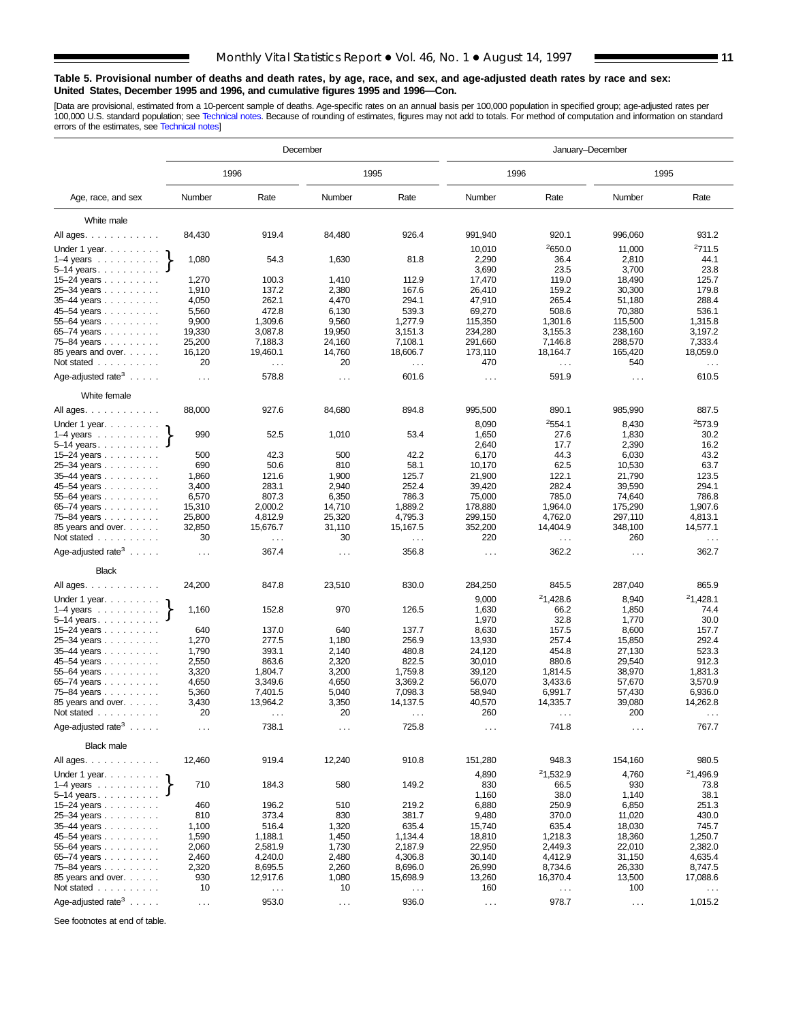#### **Table 5. Provisional number of deaths and death rates, by age, race, and sex, and age-adjusted death rates by race and sex: United States, December 1995 and 1996, and cumulative figures 1995 and 1996—Con.**

[Data are provisional, estimated from a 10-percent sample of deaths. Age-specific rates on an annual basis per 100,000 population in specified group; age-adjusted rates per<br>100,000 U.S. standard population; see Technical n

|                                                                                                                                                                                                                                                                                                                                       |                |                           | December                      |                      | January-December     |                           |                   |                                 |  |
|---------------------------------------------------------------------------------------------------------------------------------------------------------------------------------------------------------------------------------------------------------------------------------------------------------------------------------------|----------------|---------------------------|-------------------------------|----------------------|----------------------|---------------------------|-------------------|---------------------------------|--|
|                                                                                                                                                                                                                                                                                                                                       |                | 1996                      |                               | 1995                 | 1996                 |                           | 1995              |                                 |  |
| Age, race, and sex                                                                                                                                                                                                                                                                                                                    | Number         | Rate                      | Number                        | Rate                 | Number               | Rate                      | Number            | Rate                            |  |
| White male                                                                                                                                                                                                                                                                                                                            |                |                           |                               |                      |                      |                           |                   |                                 |  |
| All ages.                                                                                                                                                                                                                                                                                                                             | 84,430         | 919.4                     | 84,480                        | 926.4                | 991,940              | 920.1                     | 996,060           | 931.2                           |  |
| Under 1 year.                                                                                                                                                                                                                                                                                                                         |                |                           |                               |                      | 10,010               | 2650.0                    | 11,000            | 2711.5                          |  |
| $1-4$ years $\ldots \ldots \ldots$                                                                                                                                                                                                                                                                                                    | 1,080          | 54.3                      | 1,630                         | 81.8                 | 2,290                | 36.4                      | 2,810             | 44.1                            |  |
| $5-14$ years                                                                                                                                                                                                                                                                                                                          |                |                           |                               |                      | 3,690                | 23.5                      | 3,700             | 23.8                            |  |
| 15–24 years $\ldots$                                                                                                                                                                                                                                                                                                                  | 1,270          | 100.3                     | 1,410                         | 112.9                | 17,470               | 119.0                     | 18,490            | 125.7                           |  |
| 25-34 years                                                                                                                                                                                                                                                                                                                           | 1,910          | 137.2                     | 2,380                         | 167.6                | 26.410               | 159.2                     | 30,300            | 179.8                           |  |
| 35-44 years                                                                                                                                                                                                                                                                                                                           | 4,050          | 262.1                     | 4,470                         | 294.1                | 47,910               | 265.4                     | 51,180            | 288.4                           |  |
| 45–54 years<br>$55 - 64$ years                                                                                                                                                                                                                                                                                                        | 5,560<br>9,900 | 472.8<br>1,309.6          | 6,130<br>9,560                | 539.3<br>1,277.9     | 69,270<br>115,350    | 508.6<br>1,301.6          | 70,380<br>115,500 | 536.1<br>1,315.8                |  |
| 65-74 years                                                                                                                                                                                                                                                                                                                           | 19,330         | 3,087.8                   | 19,950                        | 3,151.3              | 234,280              | 3,155.3                   | 238,160           | 3,197.2                         |  |
| 75–84 years                                                                                                                                                                                                                                                                                                                           | 25,200         | 7,188.3                   | 24,160                        | 7,108.1              | 291,660              | 7,146.8                   | 288,570           | 7,333.4                         |  |
| 85 years and over.                                                                                                                                                                                                                                                                                                                    | 16,120         | 19,460.1                  | 14,760                        | 18,606.7             | 173,110              | 18,164.7                  | 165,420           | 18,059.0                        |  |
| Not stated                                                                                                                                                                                                                                                                                                                            | 20             | $\sim$ $\sim$ $\sim$      | 20                            | $\sim$ $\sim$ $\sim$ | 470                  | $\sim$ $\sim$             | 540               | $\epsilon \rightarrow \epsilon$ |  |
| Age-adjusted rate <sup>3</sup> $\ldots$ .                                                                                                                                                                                                                                                                                             | $\cdots$       | 578.8                     | $\cdots$                      | 601.6                | $\cdots$             | 591.9                     | $\cdots$          | 610.5                           |  |
| White female                                                                                                                                                                                                                                                                                                                          |                |                           |                               |                      |                      |                           |                   |                                 |  |
| All ages.                                                                                                                                                                                                                                                                                                                             | 88,000         | 927.6                     | 84,680                        | 894.8                | 995,500              | 890.1                     | 985,990           | 887.5                           |  |
| Under 1 year.                                                                                                                                                                                                                                                                                                                         |                |                           |                               |                      | 8,090                | 2554.1                    | 8,430             | <sup>2</sup> 573.9              |  |
| $1-4$ years $\ldots$                                                                                                                                                                                                                                                                                                                  | 990            | 52.5                      | 1,010                         | 53.4                 | 1,650                | 27.6                      | 1,830             | 30.2                            |  |
| $5 - 14$ years.<br>15-24 years                                                                                                                                                                                                                                                                                                        | 500            | 42.3                      | 500                           | 42.2                 | 2,640<br>6,170       | 17.7<br>44.3              | 2,390<br>6,030    | 16.2<br>43.2                    |  |
| 25-34 years                                                                                                                                                                                                                                                                                                                           | 690            | 50.6                      | 810                           | 58.1                 | 10,170               | 62.5                      | 10,530            | 63.7                            |  |
| 35-44 years                                                                                                                                                                                                                                                                                                                           | 1,860          | 121.6                     | 1,900                         | 125.7                | 21,900               | 122.1                     | 21,790            | 123.5                           |  |
| 45–54 years                                                                                                                                                                                                                                                                                                                           | 3,400          | 283.1                     | 2,940                         | 252.4                | 39,420               | 282.4                     | 39,590            | 294.1                           |  |
| 55-64 years                                                                                                                                                                                                                                                                                                                           | 6,570          | 807.3                     | 6,350                         | 786.3                | 75,000               | 785.0                     | 74,640            | 786.8                           |  |
| $65 - 74$ years $\ldots$                                                                                                                                                                                                                                                                                                              | 15,310         | 2,000.2                   | 14,710                        | 1,889.2              | 178,880              | 1,964.0                   | 175,290           | 1,907.6                         |  |
| 75-84 years                                                                                                                                                                                                                                                                                                                           | 25,800         | 4,812.9                   | 25,320                        | 4,795.3              | 299,150              | 4,762.0                   | 297,110           | 4,813.1                         |  |
| 85 years and over.<br>Not stated                                                                                                                                                                                                                                                                                                      | 32,850<br>30   | 15,676.7<br>$\sim$ $\sim$ | 31,110<br>30                  | 15,167.5<br>$\ldots$ | 352,200<br>220       | 14,404.9<br>$\sim$ $\sim$ | 348,100<br>260    | 14,577.1<br>$\sim$ .            |  |
| Age-adjusted rate <sup>3</sup> $\ldots$ .                                                                                                                                                                                                                                                                                             | $\ldots$       | 367.4                     | $\cdots$                      | 356.8                | $\cdots$             | 362.2                     | $\cdots$          | 362.7                           |  |
| <b>Black</b>                                                                                                                                                                                                                                                                                                                          |                |                           |                               |                      |                      |                           |                   |                                 |  |
| All ages.                                                                                                                                                                                                                                                                                                                             | 24,200         | 847.8                     | 23,510                        | 830.0                | 284,250              | 845.5                     | 287,040           | 865.9                           |  |
| Under 1 year. $\ldots$                                                                                                                                                                                                                                                                                                                |                |                           |                               |                      | 9,000                | <sup>2</sup> 1,428.6      | 8,940             | 21,428.1                        |  |
| $1-4$ years $\ldots$ $\ldots$ $\ldots$                                                                                                                                                                                                                                                                                                | 1,160          | 152.8                     | 970                           | 126.5                | 1,630                | 66.2                      | 1,850             | 74.4                            |  |
| $5 - 14$ years                                                                                                                                                                                                                                                                                                                        |                |                           |                               |                      | 1,970                | 32.8                      | 1,770             | 30.0                            |  |
| 15–24 years $\ldots$                                                                                                                                                                                                                                                                                                                  | 640            | 137.0                     | 640                           | 137.7                | 8,630                | 157.5                     | 8,600             | 157.7                           |  |
| 25-34 years                                                                                                                                                                                                                                                                                                                           | 1,270          | 277.5                     | 1,180                         | 256.9                | 13,930               | 257.4                     | 15,850            | 292.4                           |  |
| 35-44 years                                                                                                                                                                                                                                                                                                                           | 1,790<br>2,550 | 393.1<br>863.6            | 2,140<br>2,320                | 480.8<br>822.5       | 24.120<br>30,010     | 454.8<br>880.6            | 27,130<br>29,540  | 523.3<br>912.3                  |  |
| 45–54 years<br>55–64 years                                                                                                                                                                                                                                                                                                            | 3,320          | 1,804.7                   | 3,200                         | 1,759.8              | 39,120               | 1,814.5                   | 38,970            | 1,831.3                         |  |
| 65–74 years                                                                                                                                                                                                                                                                                                                           | 4,650          | 3,349.6                   | 4,650                         | 3.369.2              | 56,070               | 3,433.6                   | 57,670            | 3,570.9                         |  |
| 75-84 years                                                                                                                                                                                                                                                                                                                           | 5,360          | 7,401.5                   | 5,040                         | 7,098.3              | 58,940               | 6,991.7                   | 57,430            | 6,936.0                         |  |
| 85 years and over.                                                                                                                                                                                                                                                                                                                    | 3,430          | 13,964.2                  | 3,350                         | 14,137.5             | 40,570               | 14,335.7                  | 39,080            | 14,262.8                        |  |
| Not stated                                                                                                                                                                                                                                                                                                                            | 20             | $\cdots$                  | 20                            | $\sim$ $\sim$ $\sim$ | 260                  | $\sim$ $\sim$             | 200               | $\sim$ $\sim$ $\sim$            |  |
| Age-adjusted rate $3 \ldots$ .                                                                                                                                                                                                                                                                                                        | $\cdots$       | 738.1                     | $\sim$ $\sim$ $\sim$          | 725.8                | $\sim$ $\sim$ $\sim$ | 741.8                     | $\ddotsc$         | 767.7                           |  |
| Black male                                                                                                                                                                                                                                                                                                                            |                |                           |                               |                      |                      |                           |                   |                                 |  |
| All ages.                                                                                                                                                                                                                                                                                                                             | 12,460         | 919.4                     | 12,240                        | 910.8                | 151,280              | 948.3                     | 154,160           | 980.5                           |  |
| $\begin{bmatrix} 1 & 1 & 1 \\ 1 & 1 & 1 \\ 1 & 1 & 1 \\ 1 & 1 & 1 \\ 1 & 1 & 1 \\ 1 & 1 & 1 \\ 1 & 1 & 1 \\ 1 & 1 & 1 \\ 1 & 1 & 1 \\ 1 & 1 & 1 \\ 1 & 1 & 1 \\ 1 & 1 & 1 \\ 1 & 1 & 1 \\ 1 & 1 & 1 \\ 1 & 1 & 1 \\ 1 & 1 & 1 \\ 1 & 1 & 1 \\ 1 & 1 & 1 \\ 1 & 1 & 1 \\ 1 & 1 & 1 \\ 1 & 1 & 1 \\ 1 & 1 & 1 \\ 1 & 1 & 1 \\ 1 & 1 & $ |                |                           |                               |                      | 4,890                | <sup>2</sup> 1,532.9      | 4,760             | <sup>2</sup> 1.496.9            |  |
| $5 - 14$ years                                                                                                                                                                                                                                                                                                                        | 710            | 184.3                     | 580                           | 149.2                | 830<br>1,160         | 66.5<br>38.0              | 930<br>1,140      | 73.8<br>38.1                    |  |
| 15–24 years $\ldots$                                                                                                                                                                                                                                                                                                                  | 460            | 196.2                     | 510                           | 219.2                | 6,880                | 250.9                     | 6,850             | 251.3                           |  |
| 25-34 years                                                                                                                                                                                                                                                                                                                           | 810            | 373.4                     | 830                           | 381.7                | 9,480                | 370.0                     | 11,020            | 430.0                           |  |
| $35 - 44$ years                                                                                                                                                                                                                                                                                                                       | 1,100          | 516.4                     | 1,320                         | 635.4                | 15,740               | 635.4                     | 18,030            | 745.7                           |  |
| 45–54 years $\ldots$                                                                                                                                                                                                                                                                                                                  | 1,590          | 1,188.1                   | 1,450                         | 1,134.4              | 18,810               | 1,218.3                   | 18,360            | 1,250.7                         |  |
| 55-64 years                                                                                                                                                                                                                                                                                                                           | 2,060<br>2,460 | 2,581.9<br>4,240.0        | 1,730                         | 2,187.9              | 22,950               | 2,449.3                   | 22,010            | 2,382.0<br>4,635.4              |  |
| 65–74 years<br>75-84 years                                                                                                                                                                                                                                                                                                            | 2,320          | 8,695.5                   | 2,480<br>2,260                | 4,306.8<br>8,696.0   | 30,140<br>26,990     | 4,412.9<br>8,734.6        | 31,150<br>26,330  | 8,747.5                         |  |
| 85 years and over.                                                                                                                                                                                                                                                                                                                    | 930            | 12,917.6                  | 1,080                         | 15,698.9             | 13,260               | 16,370.4                  | 13,500            | 17,088.6                        |  |
| Not stated $\ldots$                                                                                                                                                                                                                                                                                                                   | 10             | $\cdots$                  | 10                            | $\sim$ $\sim$        | 160                  | $\sim$ $\sim$             | 100               | $\cdots$                        |  |
| Age-adjusted rate <sup>3</sup> $\ldots$ .                                                                                                                                                                                                                                                                                             | $\sim$ $\sim$  | 953.0                     | $\epsilon \rightarrow \infty$ | 936.0                | $\sim$ $\sim$        | 978.7                     | $\sim$ $\sim$     | 1,015.2                         |  |

See footnotes at end of table.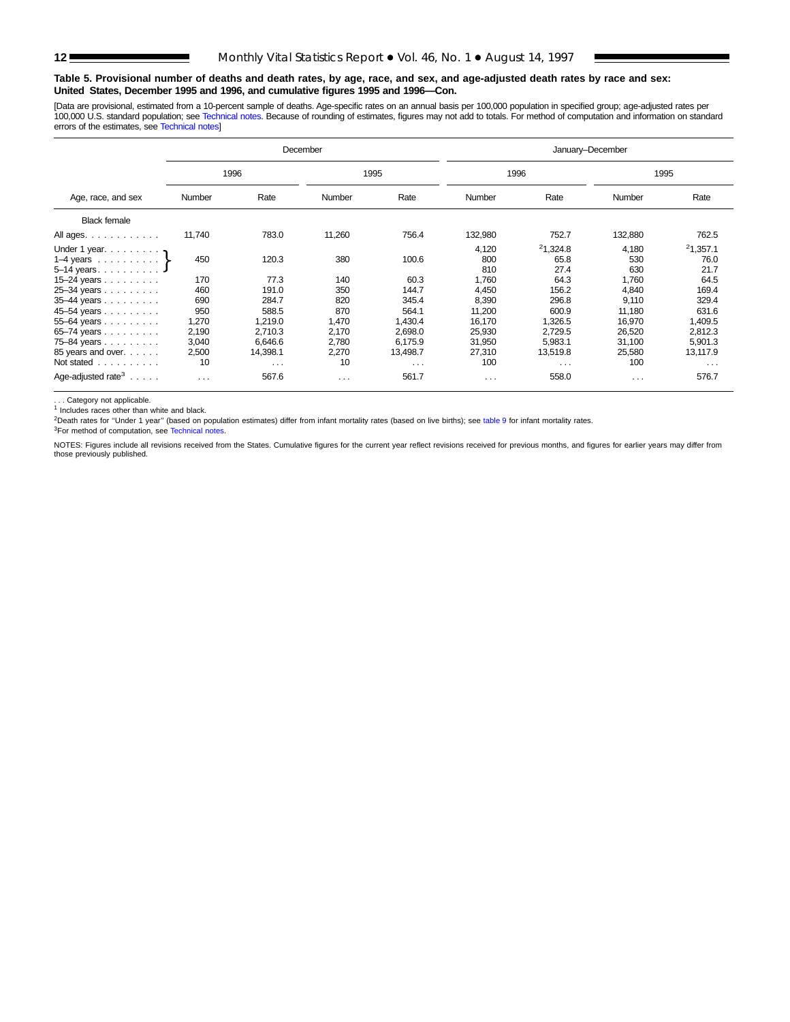## **Table 5. Provisional number of deaths and death rates, by age, race, and sex, and age-adjusted death rates by race and sex: United States, December 1995 and 1996, and cumulative figures 1995 and 1996—Con.**

[Data are provisional, estimated from a 10-percent sample of deaths. Age-specific rates on an annual basis per 100,000 population in specified group; age-adjusted rates per<br>100,000 U.S. standard population; see Technical n

|                                                                              |          |                      | December             |          | January-December    |                          |                     |                          |  |  |
|------------------------------------------------------------------------------|----------|----------------------|----------------------|----------|---------------------|--------------------------|---------------------|--------------------------|--|--|
|                                                                              | 1996     |                      |                      | 1995     |                     | 1996                     |                     | 1995                     |  |  |
| Age, race, and sex                                                           | Number   | Rate                 | Number               | Rate     | Number              | Rate                     | Number              | Rate                     |  |  |
| <b>Black female</b>                                                          |          |                      |                      |          |                     |                          |                     |                          |  |  |
| All ages.                                                                    | 11,740   | 783.0                | 11,260               | 756.4    | 132,980             | 752.7                    | 132,880             | 762.5                    |  |  |
| Under 1 year. $\ldots$<br>1–4 years $\ldots$ $\ldots$ $\}$<br>$5-14$ years J | 450      | 120.3                | 380                  | 100.6    | 4,120<br>800<br>810 | 21,324.8<br>65.8<br>27.4 | 4,180<br>530<br>630 | 21,357.1<br>76.0<br>21.7 |  |  |
| 15–24 years $\ldots$                                                         | 170      | 77.3                 | 140                  | 60.3     | 1,760               | 64.3                     | 1,760               | 64.5                     |  |  |
| 25-34 years                                                                  | 460      | 191.0                | 350                  | 144.7    | 4,450               | 156.2                    | 4.840               | 169.4                    |  |  |
| 35-44 years                                                                  | 690      | 284.7                | 820                  | 345.4    | 8,390               | 296.8                    | 9,110               | 329.4                    |  |  |
| 45-54 years                                                                  | 950      | 588.5                | 870                  | 564.1    | 11,200              | 600.9                    | 11,180              | 631.6                    |  |  |
| 55-64 years                                                                  | 1,270    | 1,219.0              | 1,470                | 1,430.4  | 16,170              | 1,326.5                  | 16,970              | 1,409.5                  |  |  |
| $65 - 74$ years                                                              | 2,190    | 2,710.3              | 2,170                | 2,698.0  | 25,930              | 2,729.5                  | 26,520              | 2,812.3                  |  |  |
| 75-84 years                                                                  | 3,040    | 6.646.6              | 2.780                | 6.175.9  | 31,950              | 5.983.1                  | 31,100              | 5,901.3                  |  |  |
| 85 years and over.                                                           | 2,500    | 14,398.1             | 2,270                | 13,498.7 | 27,310              | 13,519.8                 | 25,580              | 13,117.9                 |  |  |
| Not stated                                                                   | 10       | $\sim$ $\sim$ $\sim$ | 10                   | $\cdots$ | 100                 | $\cdots$                 | 100                 | $\cdots$                 |  |  |
| Age-adjusted rate <sup>3</sup> $\ldots$ .                                    | $\cdots$ | 567.6                | $\sim$ $\sim$ $\sim$ | 561.7    | $\cdots$            | 558.0                    | $\cdots$            | 576.7                    |  |  |

. . . Category not applicable.

<sup>1</sup> Includes races other than white and black.

 $^{2}$ Death rates for "Under 1 year" (based on population estimates) differ from infant mortality rates (based on live births); see [table 9](#page-15-0) for infant mortality rates.

3For method of computation, see [Technical notes.](#page-16-0)

NOTES: Figures include all revisions received from the States. Cumulative figures for the current year reflect revisions received for previous months, and figures for earlier years may differ from those previously published.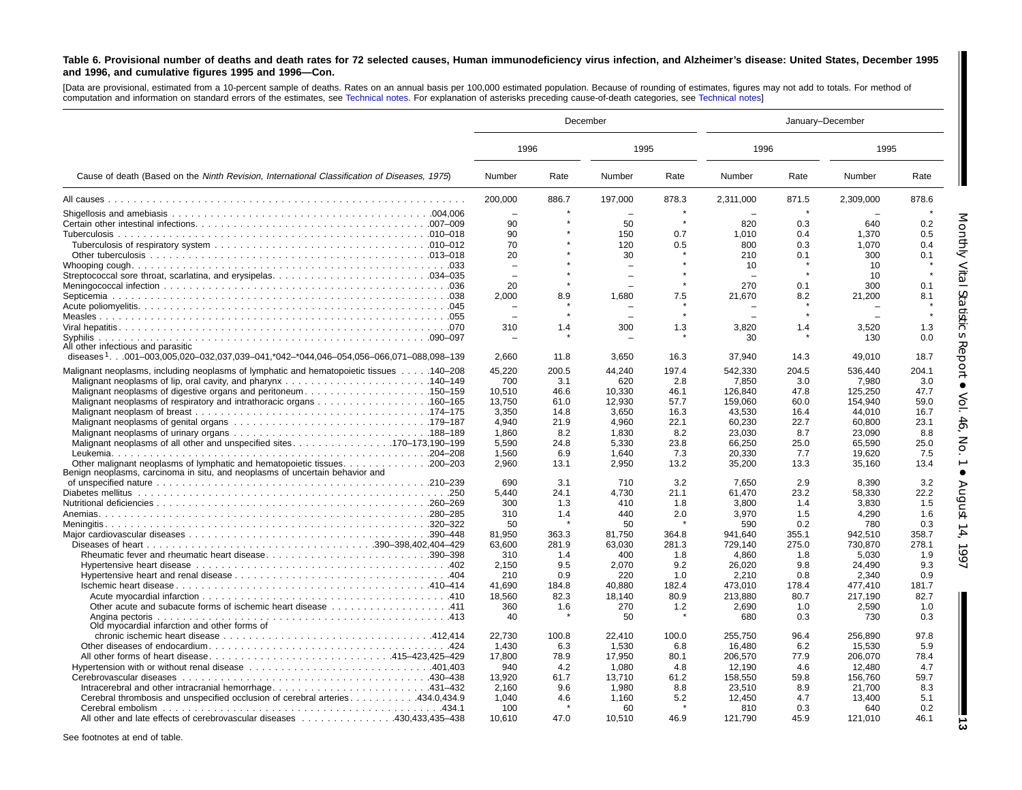#### <span id="page-12-0"></span>Table 6. Provisional number of deaths and death rates for 72 selected causes, Human immunodeficiency virus infection, and Alzheimer's disease: United States, December 1995 **and 1996, and cumulative figures 1995 and 1996—Con.**

[Data are provisional, estimated from <sup>a</sup> 10-percent sample of deaths. Rates on an annual basis per 100,000 estimated population. Because of rounding of estimates, figures may not add to totals. For method of computation and information on standard errors of the estimates, see [Technical](#page-16-0) notes. For explanation of asterisks preceding cause-of-death categories, see [Technical](#page-16-0) notes]

|                                                                                                 |                          | December |              |       | January-December |             |                |             |  |
|-------------------------------------------------------------------------------------------------|--------------------------|----------|--------------|-------|------------------|-------------|----------------|-------------|--|
|                                                                                                 | 1996                     |          | 1995         |       | 1996             |             | 1995           |             |  |
| Cause of death (Based on the Ninth Revision, International Classification of Diseases, 1975)    | Number                   | Rate     | Number       | Rate  | Number           | Rate        | Number         | Rate        |  |
|                                                                                                 | 200,000                  | 886.7    | 197,000      | 878.3 | 2,311,000        | 871.5       | 2,309,000      | 878.6       |  |
|                                                                                                 | $\overline{\phantom{0}}$ |          | $\sim$       |       | $\equiv$         | $\star$     |                |             |  |
|                                                                                                 | 90                       |          | 50           |       | 820              | 0.3         | 640            | 0.2         |  |
|                                                                                                 | 90                       |          | 150          | 0.7   | 1.010            | 0.4         | 1,370          | 0.5         |  |
|                                                                                                 | 70                       |          | 120          | 0.5   | 800              | 0.3         | 1,070          | 0.4         |  |
|                                                                                                 | 20                       |          | 30           |       | 210              | 0.1         | 300            | 0.1         |  |
|                                                                                                 |                          |          |              |       | 10               |             | 10             |             |  |
|                                                                                                 |                          |          |              |       |                  |             | 10             |             |  |
|                                                                                                 | 20                       |          |              |       | 270              | 0.1         | 300            | 0.1         |  |
|                                                                                                 | 2,000                    | 8.9      | 1,680        | 7.5   | 21,670           | 8.2         | 21,200         | 8.1         |  |
|                                                                                                 |                          |          |              |       |                  |             |                |             |  |
|                                                                                                 |                          |          |              |       |                  |             |                |             |  |
|                                                                                                 | 310                      | 1.4      | 300          | 1.3   | 3.820            | 1.4         | 3.520          | 1.3         |  |
| Syphilis                                                                                        |                          |          |              |       | 30               |             | 130            | 0.0         |  |
| All other infectious and parasitic                                                              |                          |          |              |       |                  |             |                |             |  |
| diseases <sup>1</sup> 001-003,005,020-032,037,039-041,*042-*044,046-054,056-066,071-088,098-139 | 2,660                    | 11.8     | 3,650        | 16.3  | 37,940           | 14.3        | 49,010         | 18.7        |  |
| Malignant neoplasms, including neoplasms of lymphatic and hematopoietic tissues 140–208         | 45,220                   | 200.5    | 44.240       | 197.4 | 542,330          | 204.5       | 536,440        | 204.1       |  |
|                                                                                                 | 700                      | 3.1      | 620          | 2.8   | 7,850            | 3.0         | 7,980          | 3.0         |  |
| Malignant neoplasms of digestive organs and peritoneum150–159                                   | 10.510                   | 46.6     | 10,330       | 46.1  | 126.840          | 47.8        | 125,250        | 47.7        |  |
|                                                                                                 | 13,750                   | 61.0     | 12,930       | 57.7  | 159,060          | 60.0        | 154,940        | 59.0        |  |
|                                                                                                 | 3,350                    | 14.8     | 3,650        | 16.3  | 43,530           | 16.4        | 44,010         | 16.7        |  |
|                                                                                                 | 4.940                    | 21.9     | 4.960        | 22.1  | 60,230           | 22.7        | 60,800         | 23.1        |  |
|                                                                                                 | 1,860                    | 8.2      | 1,830        | 8.2   | 23,030           | 8.7         | 23,090         | 8.8         |  |
| Malignant neoplasms of all other and unspecified sites170–173.190–199                           | 5.590                    | 24.8     | 5,330        | 23.8  | 66,250           | 25.0        | 65,590         | 25.0        |  |
|                                                                                                 | 1,560                    | 6.9      | 1.640        | 7.3   | 20.330           | 7.7         | 19,620         | 7.5         |  |
| Other malignant neoplasms of lymphatic and hematopoietic tissues. 200–203                       | 2,960                    | 13.1     | 2,950        | 13.2  | 35,200           | 13.3        | 35,160         | 13.4        |  |
| Benign neoplasms, carcinoma in situ, and neoplasms of uncertain behavior and                    |                          |          |              |       |                  |             |                |             |  |
|                                                                                                 | 690                      | 3.1      | 710          | 3.2   | 7,650            | 2.9         | 8,390          | 3.2         |  |
|                                                                                                 | 5.440                    | 24.1     | 4,730        | 21.1  | 61,470           | 23.2        | 58,330         | 22.2        |  |
|                                                                                                 | 300                      | 1.3      | 410          | 1.8   | 3,800            | 1.4         | 3,830          | 1.5         |  |
|                                                                                                 | 310                      | 1.4      | 440          | 2.0   | 3,970            | 1.5         | 4,290          | 1.6         |  |
|                                                                                                 | 50                       |          | 50           |       | 590              | 0.2         | 780            | 0.3         |  |
|                                                                                                 | 81.950                   | 363.3    | 81.750       | 364.8 | 941.640          | 355.1       | 942,510        | 358.7       |  |
|                                                                                                 | 63.600                   | 281.9    | 63,030       | 281.3 | 729.140          | 275.0       | 730,870        | 278.1       |  |
| Rheumatic fever and rheumatic heart disease390-398                                              | 310                      | 1.4      | 400          | 1.8   | 4,860            | 1.8         | 5,030          | 1.9         |  |
|                                                                                                 | 2,150                    | 9.5      | 2,070        | 9.2   | 26,020           | 9.8         | 24,490         | 9.3         |  |
|                                                                                                 | 210                      | 0.9      | 220          | 1.0   | 2,210            | 0.8         | 2,340          | 0.9         |  |
|                                                                                                 | 41,690                   | 184.8    | 40.880       | 182.4 | 473,010          | 178.4       | 477,410        | 181.7       |  |
|                                                                                                 | 18.560                   | 82.3     | 18.140       | 80.9  | 213.880          | 80.7        | 217.190        | 82.7        |  |
| 0ther acute and subacute forms of ischemic heart disease 411                                    | 360                      | 1.6      | 270          | 1.2   | 2,690            | 1.0         | 2,590          | 1.0         |  |
|                                                                                                 | 40                       |          | 50           |       | 680              | 0.3         | 730            | 0.3         |  |
| Old myocardial infarction and other forms of                                                    |                          |          |              |       |                  |             |                |             |  |
|                                                                                                 | 22,730                   | 100.8    | 22,410       | 100.0 | 255,750          | 96.4        | 256,890        | 97.8        |  |
|                                                                                                 | 1,430                    | 6.3      | 1,530        | 6.8   | 16,480           | 6.2         | 15,530         | 5.9         |  |
| All other forms of heart disease415–423,425–429                                                 | 17,800                   | 78.9     | 17,950       | 80.1  | 206,570          | 77.9        | 206,070        | 78.4        |  |
|                                                                                                 | 940                      | 4.2      | 1,080        | 4.8   | 12,190           | 4.6         | 12,480         | 4.7         |  |
|                                                                                                 |                          |          |              |       |                  |             |                |             |  |
|                                                                                                 | 13,920                   | 61.7     | 13,710       | 61.2  | 158,550          | 59.8        | 156,760        | 59.7        |  |
|                                                                                                 | 2.160                    | 9.6      | 1,980        | 8.8   | 23,510           | 8.9         | 21,700         | 8.3         |  |
| Cerebral thrombosis and unspecified occlusion of cerebral arteries 434.0,434.9                  | 1,040                    | 4.6      | 1,160        | 5.2   | 12,450           | 4.7         | 13,400         | 5.1         |  |
| All other and late effects of cerebrovascular diseases 430,433,435–438                          | 100<br>10.610            | 47.0     | 60<br>10.510 | 46.9  | 810<br>121,790   | 0.3<br>45.9 | 640<br>121,010 | 0.2<br>46.1 |  |

See footnotes at end of table.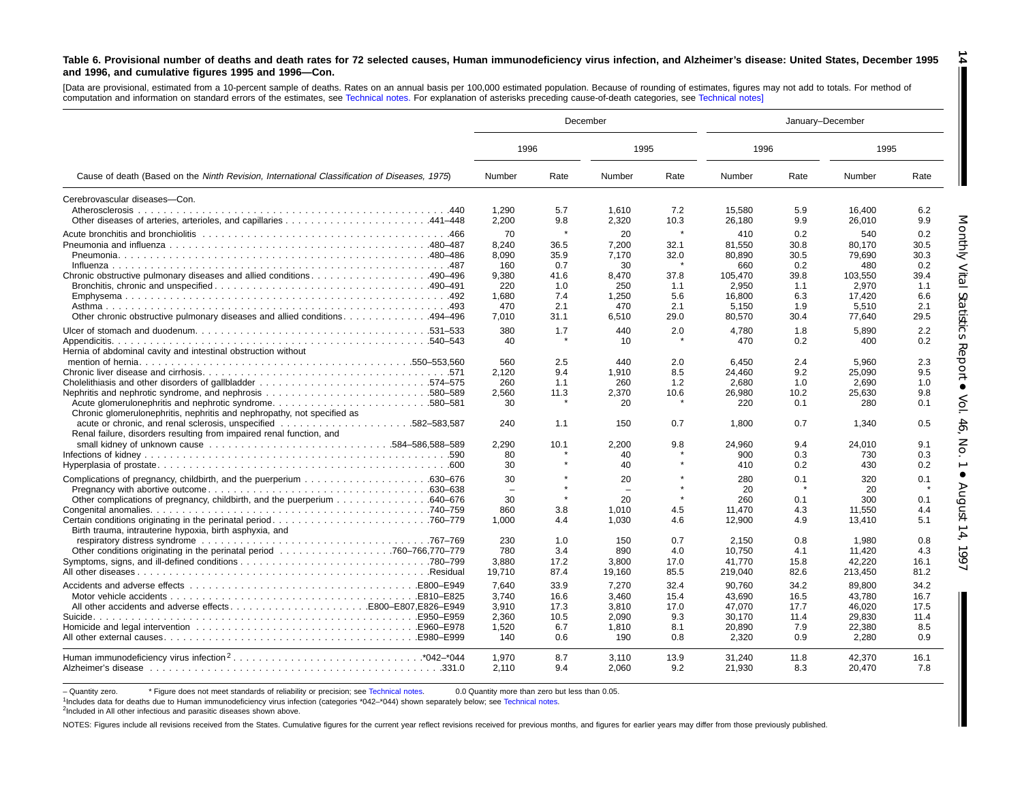#### Table 6. Provisional number of deaths and death rates for 72 selected causes, Human immunodeficiency virus infection, and Alzheimer's disease: United States, December 1995 **and 1996, and cumulative figures 1995 and 1996—Con. 14**

[Data are provisional, estimated from <sup>a</sup> 10-percent sample of deaths. Rates on an annual basis per 100,000 estimated population. Because of rounding of estimates, figures may not add to totals. For method of computation and information on standard errors of the estimates, see [Technical](#page-16-0) notes. For explanation of asterisks preceding cause-of-death categories, see [Technical](#page-16-0) notes]

|                                                                                                                                                                                                                                                                                                                                                                                                                                                                                                                                      |                |              | December       |              | January-December |              |                  |              |  |
|--------------------------------------------------------------------------------------------------------------------------------------------------------------------------------------------------------------------------------------------------------------------------------------------------------------------------------------------------------------------------------------------------------------------------------------------------------------------------------------------------------------------------------------|----------------|--------------|----------------|--------------|------------------|--------------|------------------|--------------|--|
|                                                                                                                                                                                                                                                                                                                                                                                                                                                                                                                                      | 1996           |              | 1995           |              | 1996             |              | 1995             |              |  |
| Cause of death (Based on the Ninth Revision, International Classification of Diseases, 1975)<br>0ther chronic obstructive pulmonary diseases and allied conditions494–496<br>Hernia of abdominal cavity and intestinal obstruction without<br>Chronic glomerulonephritis, nephritis and nephropathy, not specified as<br>Renal failure, disorders resulting from impaired renal function, and<br>Other complications of pregnancy, childbirth, and the puerperium 640–676<br>Birth trauma, intrauterine hypoxia, birth asphyxia, and | Number         | Rate         | Number         | Rate         | Number           | Rate         | Number           | Rate         |  |
| Cerebrovascular diseases-Con.                                                                                                                                                                                                                                                                                                                                                                                                                                                                                                        |                |              |                |              |                  |              |                  |              |  |
|                                                                                                                                                                                                                                                                                                                                                                                                                                                                                                                                      | 1.290<br>2.200 | 5.7<br>9.8   | 1.610<br>2.320 | 7.2<br>10.3  | 15.580<br>26.180 | 5.9<br>9.9   | 16.400<br>26.010 | 6.2<br>9.9   |  |
|                                                                                                                                                                                                                                                                                                                                                                                                                                                                                                                                      | 70             | $\star$      | 20             | $\star$      | 410              | 0.2          | 540              | 0.2          |  |
|                                                                                                                                                                                                                                                                                                                                                                                                                                                                                                                                      | 8.240<br>8.090 | 36.5<br>35.9 | 7.200<br>7.170 | 32.1<br>32.0 | 81.550<br>80.890 | 30.8<br>30.5 | 80.170<br>79.690 | 30.5<br>30.3 |  |
|                                                                                                                                                                                                                                                                                                                                                                                                                                                                                                                                      | 160            | 0.7          | 30             |              | 660              | 0.2          | 480              | 0.2          |  |
| Chronic obstructive pulmonary diseases and allied conditions490–496                                                                                                                                                                                                                                                                                                                                                                                                                                                                  | 9.380          | 41.6         | 8.470          | 37.8         | 105.470          | 39.8         | 103.550          | 39.4         |  |
|                                                                                                                                                                                                                                                                                                                                                                                                                                                                                                                                      | 220            | 1.0          | 250            | 1.1          | 2,950            | 1.1          | 2,970            | 1.1          |  |
|                                                                                                                                                                                                                                                                                                                                                                                                                                                                                                                                      | 1.680          | 7.4          | 1,250          | 5.6          | 16.800           | 6.3          | 17.420           | 6.6          |  |
|                                                                                                                                                                                                                                                                                                                                                                                                                                                                                                                                      | 470            | 2.1          | 470            | 2.1          | 5.150            | 1.9          | 5.510            | 2.1          |  |
|                                                                                                                                                                                                                                                                                                                                                                                                                                                                                                                                      | 7.010          | 31.1         | 6,510          | 29.0         | 80,570           | 30.4         | 77,640           | 29.5         |  |
|                                                                                                                                                                                                                                                                                                                                                                                                                                                                                                                                      | 380            | 1.7          | 440            | 2.0          | 4,780            | 1.8          | 5,890            | 2.2          |  |
|                                                                                                                                                                                                                                                                                                                                                                                                                                                                                                                                      | 40             |              | 10             |              | 470              | 0.2          | 400              | 0.2          |  |
|                                                                                                                                                                                                                                                                                                                                                                                                                                                                                                                                      |                |              |                |              |                  |              |                  |              |  |
|                                                                                                                                                                                                                                                                                                                                                                                                                                                                                                                                      | 560<br>2,120   | 2.5<br>9.4   | 440<br>1,910   | 2.0<br>8.5   | 6.450<br>24,460  | 2.4<br>9.2   | 5.960<br>25.090  | 2.3<br>9.5   |  |
|                                                                                                                                                                                                                                                                                                                                                                                                                                                                                                                                      | 260            | 1.1          | 260            | 1.2          | 2.680            | 1.0          | 2.690            | 1.0          |  |
|                                                                                                                                                                                                                                                                                                                                                                                                                                                                                                                                      | 2,560          | 11.3         | 2,370          | 10.6         | 26,980           | 10.2         | 25,630           | 9.8          |  |
| Acute glomerulonephritis and nephrotic syndrome580-581                                                                                                                                                                                                                                                                                                                                                                                                                                                                               | 30             |              | 20             |              | 220              | 0.1          | 280              | 0.1          |  |
|                                                                                                                                                                                                                                                                                                                                                                                                                                                                                                                                      | 240            | 1.1          | 150            | 0.7          | 1,800            | 0.7          | 1,340            | 0.5          |  |
|                                                                                                                                                                                                                                                                                                                                                                                                                                                                                                                                      | 2,290          | 10.1         | 2,200          | 9.8          | 24,960           | 9.4          | 24,010           | 9.1          |  |
|                                                                                                                                                                                                                                                                                                                                                                                                                                                                                                                                      | 80             |              | 40             |              | 900              | 0.3          | 730              | 0.3          |  |
|                                                                                                                                                                                                                                                                                                                                                                                                                                                                                                                                      | 30             |              | 40             |              | 410              | 0.2          | 430              | 0.2          |  |
|                                                                                                                                                                                                                                                                                                                                                                                                                                                                                                                                      | 30             |              | 20             |              | 280              | 0.1          | 320              | 0.1          |  |
|                                                                                                                                                                                                                                                                                                                                                                                                                                                                                                                                      |                |              |                | $\star$      | 20               |              | 20               |              |  |
|                                                                                                                                                                                                                                                                                                                                                                                                                                                                                                                                      | 30<br>860      | 3.8          | 20<br>1,010    | 4.5          | 260<br>11,470    | 0.1<br>4.3   | 300<br>11,550    | 0.1<br>4.4   |  |
|                                                                                                                                                                                                                                                                                                                                                                                                                                                                                                                                      | 1.000          | 4.4          | 1.030          | 4.6          | 12.900           | 4.9          | 13.410           | 5.1          |  |
|                                                                                                                                                                                                                                                                                                                                                                                                                                                                                                                                      |                |              |                |              |                  |              |                  |              |  |
|                                                                                                                                                                                                                                                                                                                                                                                                                                                                                                                                      | 230            | 1.0          | 150            | 0.7          | 2.150            | 0.8          | 1.980            | 0.8          |  |
|                                                                                                                                                                                                                                                                                                                                                                                                                                                                                                                                      | 780            | 3.4          | 890            | 4.0          | 10.750           | 4.1          | 11.420           | 4.3          |  |
|                                                                                                                                                                                                                                                                                                                                                                                                                                                                                                                                      | 3.880          | 17.2         | 3.800          | 17.0         | 41.770           | 15.8         | 42.220           | 16.1         |  |
|                                                                                                                                                                                                                                                                                                                                                                                                                                                                                                                                      | 19,710         | 87.4         | 19,160         | 85.5         | 219,040          | 82.6         | 213,450          | 81.2         |  |
|                                                                                                                                                                                                                                                                                                                                                                                                                                                                                                                                      | 7.640          | 33.9         | 7.270          | 32.4         | 90.760           | 34.2         | 89.800           | 34.2         |  |
|                                                                                                                                                                                                                                                                                                                                                                                                                                                                                                                                      | 3.740          | 16.6         | 3.460          | 15.4         | 43.690           | 16.5         | 43.780           | 16.7         |  |
|                                                                                                                                                                                                                                                                                                                                                                                                                                                                                                                                      | 3,910          | 17.3         | 3,810          | 17.0         | 47,070           | 17.7         | 46,020           | 17.5         |  |
|                                                                                                                                                                                                                                                                                                                                                                                                                                                                                                                                      | 2.360          | 10.5         | 2.090          | 9.3          | 30.170           | 11.4         | 29.830           | 11.4         |  |
|                                                                                                                                                                                                                                                                                                                                                                                                                                                                                                                                      | 1,520<br>140   | 6.7<br>0.6   | 1,810<br>190   | 8.1<br>0.8   | 20,890<br>2,320  | 7.9<br>0.9   | 22,380<br>2,280  | 8.5<br>0.9   |  |
|                                                                                                                                                                                                                                                                                                                                                                                                                                                                                                                                      |                |              |                |              |                  |              |                  |              |  |
|                                                                                                                                                                                                                                                                                                                                                                                                                                                                                                                                      | 1.970<br>2.110 | 8.7<br>9.4   | 3.110<br>2.060 | 13.9<br>9.2  | 31,240<br>21,930 | 11.8<br>8.3  | 42.370<br>20.470 | 16.1<br>7.8  |  |

- Quantity zero. \* Figure does not meet standards of reliability or precision; see Technical notes. 0.0 Quantity more than zero but less than 0.05.

1Includes data for deaths due to Human immunodeficiency virus infection (categories [\\*042–\\*044\)](#page-16-0) shown separately below; see [Technical](#page-16-0) notes.

<sup>2</sup>Included in All other infectious and parasitic diseases shown above.

NOTES: Figures include all revisions received from the States. Cumulative figures for the current year reflect revisions received for previous months, and figures for earlier years may differ from those previously publishe

П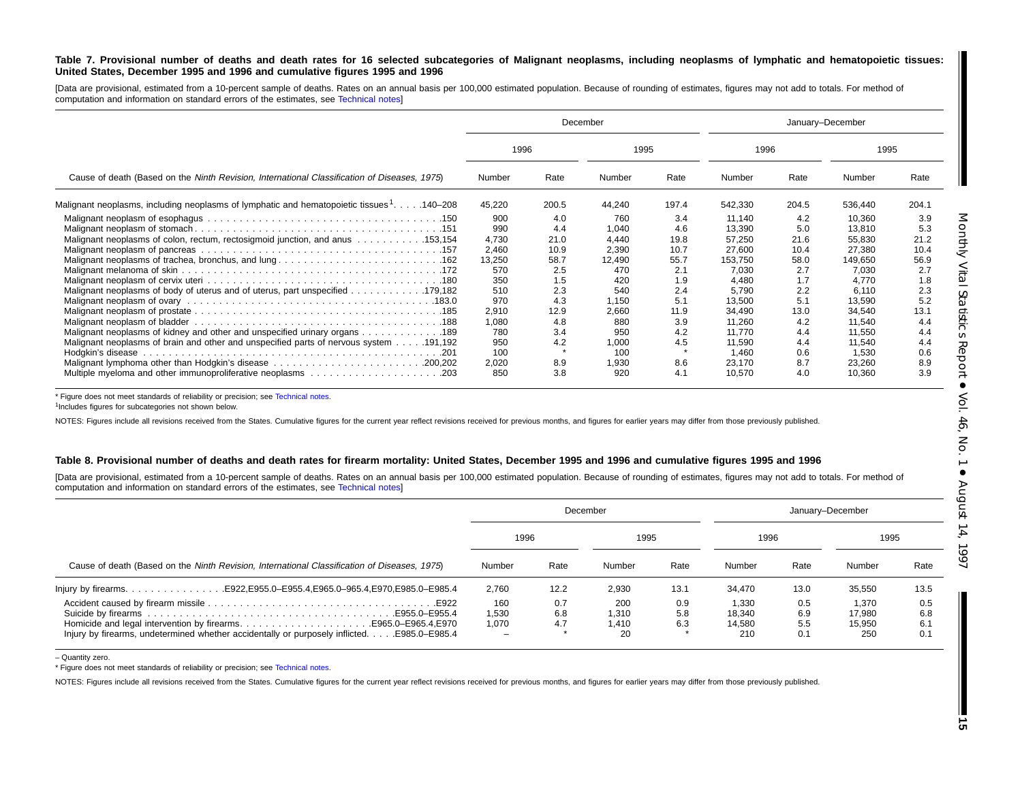#### Table 7. Provisional number of deaths and death rates for 16 selected subcategories of Malignant neoplasms, including neoplasms of lymphatic and hematopoietic tissues: United States, December 1995 and 1996 and cumulative figures 1995 and 1996

[Data are provisional, estimated from a 10-percent sample of deaths. Rates on an annual basis per 100,000 estimated population. Because of rounding of estimates, figures may not add to totals. For method of computation and information on standard errors of the estimates, see [Technical](#page-16-0) notes]

|                                                                                                                |        |       | December |       | January-December |       |         |       |
|----------------------------------------------------------------------------------------------------------------|--------|-------|----------|-------|------------------|-------|---------|-------|
|                                                                                                                | 1996   |       |          | 1995  |                  | 1996  | 1995    |       |
| Cause of death (Based on the Ninth Revision, International Classification of Diseases, 1975)                   | Number | Rate  | Number   | Rate  | Number           | Rate  | Number  | Rate  |
| Malignant neoplasms, including neoplasms of lymphatic and hematopoietic tissues <sup>1</sup> 140–208           | 45,220 | 200.5 | 44,240   | 197.4 | 542,330          | 204.5 | 536,440 | 204.1 |
|                                                                                                                | 900    | 4.0   | 760      | 3.4   | 11,140           | 4.2   | 10,360  | 3.9   |
|                                                                                                                | 990    | 4.4   | 1,040    | 4.6   | 13,390           | 5.0   | 13,810  | 5.3   |
| Malignant neoplasms of colon, rectum, rectosigmoid junction, and anus  153,154                                 | 4,730  | 21.0  | 4,440    | 19.8  | 57,250           | 21.6  | 55,830  | 21.2  |
|                                                                                                                | 2,460  | 10.9  | 2,390    | 10.7  | 27,600           | 10.4  | 27,380  | 10.4  |
| Malignant neoplasms of trachea, bronchus, and lung162                                                          | 13,250 | 58.7  | 12,490   | 55.7  | 153,750          | 58.0  | 149,650 | 56.9  |
|                                                                                                                | 570    | 2.5   | 470      | 2.1   | 7,030            | 2.7   | 7,030   | 2.7   |
|                                                                                                                | 350    | 1.5   | 420      | 1.9   | 4.480            | 1.7   | 4.770   | 1.8   |
| Malignant neoplasms of body of uterus and of uterus, part unspecified 179,182                                  | 510    | 2.3   | 540      | 2.4   | 5.790            | 2.2   | 6,110   | 2.3   |
| Malignant neoplasm of ovary contracts of the contracts of the contracts of the contracts of Malignant neoplasm | 970    | 4.3   | 1.150    | 5.1   | 13.500           | 5.1   | 13,590  | 5.2   |
|                                                                                                                | 2,910  | 12.9  | 2,660    | 11.9  | 34,490           | 13.0  | 34,540  | 13.1  |
|                                                                                                                | 1,080  | 4.8   | 880      | 3.9   | 11.260           | 4.2   | 11.540  | 4.4   |
| Malignant neoplasms of kidney and other and unspecified urinary organs 189                                     | 780    | 3.4   | 950      | 4.2   | 11.770           | 4.4   | 11.550  | 4.4   |
| Malignant neoplasms of brain and other and unspecified parts of nervous system 191,192                         | 950    | 4.2   | 1,000    | 4.5   | 11,590           | 4.4   | 11,540  | 4.4   |
|                                                                                                                | 100    |       | 100      |       | 1.460            | 0.6   | 1,530   | 0.6   |
|                                                                                                                | 2,020  | 8.9   | 1,930    | 8.6   | 23.170           | 8.7   | 23,260  | 8.9   |
|                                                                                                                | 850    | 3.8   | 920      | 4.1   | 10.570           | 4.0   | 10,360  | 3.9   |

\* Figure does not meet standards of reliability or precision; see [Technical](#page-16-0) notes.

<sup>1</sup>Includes figures for subcategories not shown below.

NOTES: Figures include all revisions received from the States. Cumulative figures for the current year reflect revisions received for previous months, and figures for earlier years may differ from those previously publishe

#### Table 8. Provisional number of deaths and death rates for firearm mortality: United States, December 1995 and 1996 and cumulative figures 1995 and 1996

[Data are provisional, estimated from a 10-percent sample of deaths. Rates on an annual basis per 100,000 estimated population. Because of rounding of estimates, figures may not add to totals. For method of computation and information on standard errors of the estimates, see [Technical](#page-16-0) notes]

|                                                                                                                                                                  |                            |                   | December                    |                   | January-December                 |                          |                                  |                          |  |
|------------------------------------------------------------------------------------------------------------------------------------------------------------------|----------------------------|-------------------|-----------------------------|-------------------|----------------------------------|--------------------------|----------------------------------|--------------------------|--|
|                                                                                                                                                                  | 1996                       |                   | 1995                        |                   | 1996                             |                          | 1995                             |                          |  |
| Cause of death (Based on the Ninth Revision, International Classification of Diseases, 1975)                                                                     | Number                     | Rate              | Number                      | Rate              | Number                           | Rate                     | Number                           | Rate                     |  |
|                                                                                                                                                                  | 2.760                      | 12.2              | 2,930                       | 13.1              | 34.470                           | 13.0                     | 35.550                           | 13.5                     |  |
| Homicide and legal intervention by firearmsE965.0–E965.4, E970<br>Injury by firearms, undetermined whether accidentally or purposely inflicted.<br>E985.0-E985.4 | 160<br>1,530<br>1.070<br>- | 0.7<br>6.8<br>4.7 | 200<br>1.310<br>1.410<br>20 | 0.9<br>5.8<br>6.3 | 1.330<br>18.340<br>14.580<br>210 | 0.5<br>6.9<br>5.5<br>0.1 | 1.370<br>17.980<br>15.950<br>250 | 0.5<br>6.8<br>6.1<br>0.1 |  |

<sup>–</sup> Quantity zero.

\* Figure does not meet standards of reliability or precision; see [Technical](#page-16-0) notes.

NOTES: Figures include all revisions received from the States. Cumulative figures for the current year reflect revisions received for previous months, and figures for earlier years may differ from those previously publishe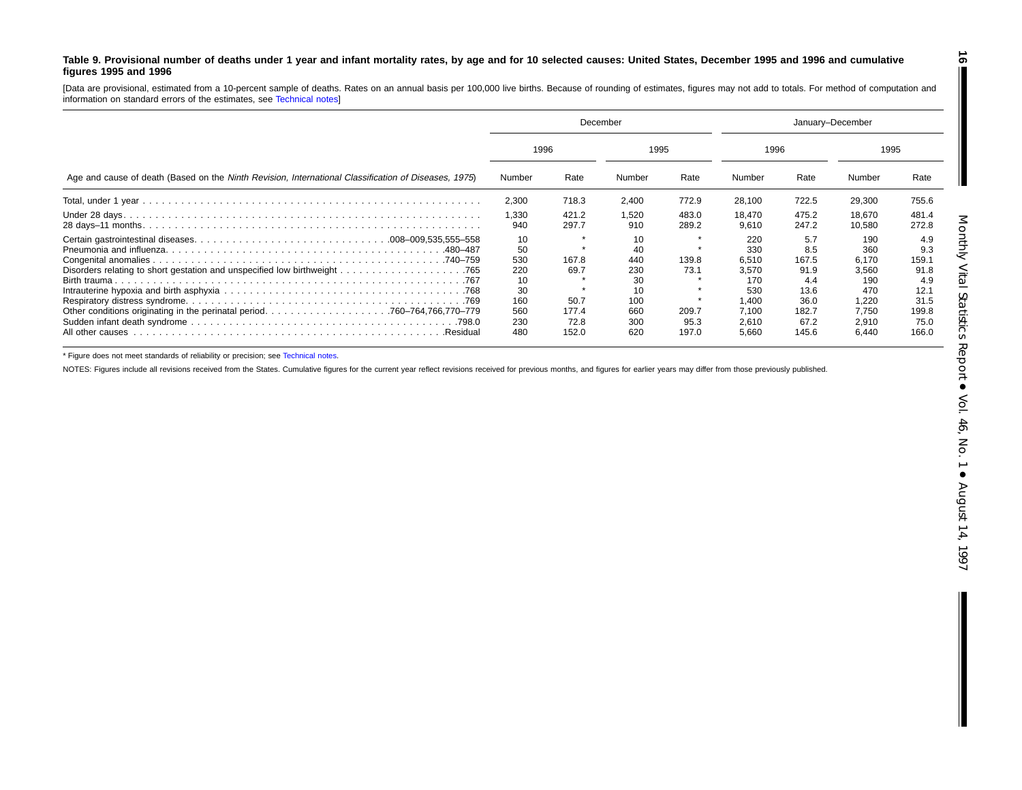#### <span id="page-15-0"></span>Table 9. Provisional number of deaths under 1 year and infant mortality rates, by age and for 10 selected causes: United States, December 1995 and 1996 and cumulative **figures 1995 and 1996**

[Data are provisional, estimated from <sup>a</sup> 10-percent sample of deaths. Rates on an annual basis per 100,000 live births. Because of rounding of estimates, figures may not add to totals. For method of computation and information on standard errors of the estimates, see [Technical](#page-16-0) notes]

|                                                                                                      | December                                                       |                                                 |                                                                |                                         | January-December                                                               |                                                                              |                                                                                |                                                                              |  |
|------------------------------------------------------------------------------------------------------|----------------------------------------------------------------|-------------------------------------------------|----------------------------------------------------------------|-----------------------------------------|--------------------------------------------------------------------------------|------------------------------------------------------------------------------|--------------------------------------------------------------------------------|------------------------------------------------------------------------------|--|
|                                                                                                      |                                                                | 1996                                            |                                                                | 1995                                    |                                                                                | 1996                                                                         |                                                                                | 1995                                                                         |  |
| Age and cause of death (Based on the Ninth Revision, International Classification of Diseases, 1975) | Number                                                         | Rate                                            | Number                                                         | Rate                                    | Number                                                                         | Rate                                                                         | Number                                                                         | Rate                                                                         |  |
|                                                                                                      | 2,300                                                          | 718.3                                           | 2,400                                                          | 772.9                                   | 28,100                                                                         | 722.5                                                                        | 29,300                                                                         | 755.6                                                                        |  |
|                                                                                                      | 1,330<br>940                                                   | 421.2<br>297.7                                  | 1,520<br>910                                                   | 483.0<br>289.2                          | 18.470<br>9.610                                                                | 475.2<br>247.2                                                               | 18.670<br>10.580                                                               | 481.4<br>272.8                                                               |  |
| All other causes<br>Residual                                                                         | 10<br>50<br>530<br>220<br>10<br>30<br>160<br>560<br>230<br>480 | 167.8<br>69.7<br>50.7<br>177.4<br>72.8<br>152.0 | 10<br>40<br>440<br>230<br>30<br>10<br>100<br>660<br>300<br>620 | 139.8<br>73.1<br>209.7<br>95.3<br>197.0 | 220<br>330<br>6,510<br>3.570<br>170<br>530<br>1.400<br>7.100<br>2,610<br>5,660 | 5.7<br>8.5<br>167.5<br>91.9<br>4.4<br>13.6<br>36.0<br>182.7<br>67.2<br>145.6 | 190<br>360<br>6,170<br>3,560<br>190<br>470<br>1.220<br>7,750<br>2,910<br>6,440 | 4.9<br>9.3<br>159.1<br>91.8<br>4.9<br>12.1<br>31.5<br>199.8<br>75.0<br>166.0 |  |

\* Figure does not meet standards of reliability or precision; see [Technical](#page-16-0) notes.

NOTES: Figures include all revisions received from the States. Cumulative figures for the current year reflect revisions received for previous months, and figures for earlier years may differ from those previously publishe

**16**

 $\blacksquare$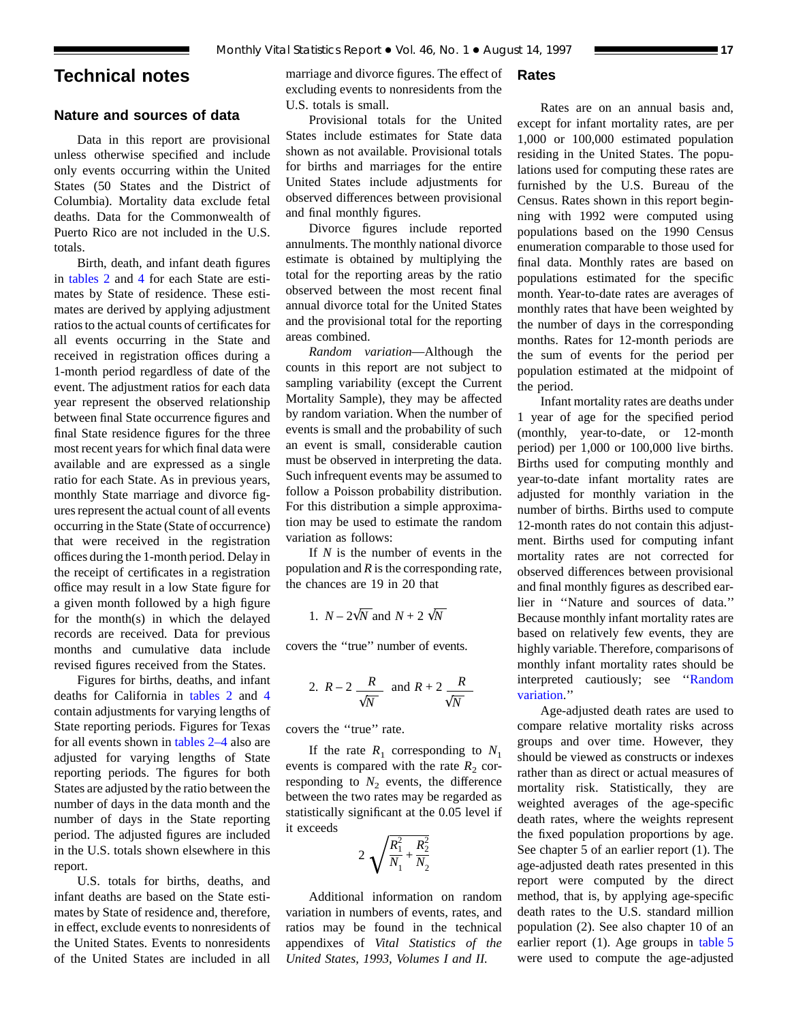# <span id="page-16-0"></span>**Technical notes**

## **Nature and sources of data**

Data in this report are provisional unless otherwise specified and include only events occurring within the United States (50 States and the District of Columbia). Mortality data exclude fetal deaths. Data for the Commonwealth of Puerto Rico are not included in the U.S. totals.

Birth, dea[th, an](#page-8-0)d infant death figures in [tables 2](#page-6-0) and 4 for each State are estimates by State of residence. These estimates are derived by applying adjustment ratios to the actual counts of certificates for all events occurring in the State and received in registration offices during a 1-month period regardless of date of the event. The adjustment ratios for each data year represent the observed relationship between final State occurrence figures and final State residence figures for the three most recent years for which final data were available and are expressed as a single ratio for each State. As in previous years, monthly State marriage and divorce figures represent the actual count of all events occurring in the State (State of occurrence) that were received in the registration offices during the 1-month period. Delay in the receipt of certificates in a registration office may result in a low State figure for a given month followed by a high figure for the month(s) in which the delayed records are received. Data for previous months and cumulative data include revised figures received from the States.

Figures for births, deaths, and i[nfant](#page-8-0) deaths for California in [tables 2](#page-6-0) and 4 contain adjustments for varying lengths of State reporting periods. Figures for Texas for all events shown in [tables 2–4](#page-6-0) also are adjusted for varying lengths of State reporting periods. The figures for both States are adjusted by the ratio between the number of days in the data month and the number of days in the State reporting period. The adjusted figures are included in the U.S. totals shown elsewhere in this report.

U.S. totals for births, deaths, and infant deaths are based on the State estimates by State of residence and, therefore, in effect, exclude events to nonresidents of the United States. Events to nonresidents of the United States are included in all

marriage and divorce figures. The effect of excluding events to nonresidents from the U.S. totals is small.

Provisional totals for the United States include estimates for State data shown as not available. Provisional totals for births and marriages for the entire United States include adjustments for observed differences between provisional and final monthly figures.

Divorce figures include reported annulments. The monthly national divorce estimate is obtained by multiplying the total for the reporting areas by the ratio observed between the most recent final annual divorce total for the United States and the provisional total for the reporting areas combined.

*Random variation*—Although the counts in this report are not subject to sampling variability (except the Current Mortality Sample), they may be affected by random variation. When the number of events is small and the probability of such an event is small, considerable caution must be observed in interpreting the data. Such infrequent events may be assumed to follow a Poisson probability distribution. For this distribution a simple approximation may be used to estimate the random variation as follows:

If *N* is the number of events in the population and *R* is the corresponding rate, the chances are 19 in 20 that

1. 
$$
N - 2\sqrt{N}
$$
 and  $N + 2\sqrt{N}$ 

covers the ''true'' number of events.

2. 
$$
R-2
$$
  $\frac{R}{\sqrt{N}}$  and  $R+2$   $\frac{R}{\sqrt{N}}$ 

covers the ''true'' rate.

If the rate  $R_1$  corresponding to  $N_1$ events is compared with the rate  $R_2$  corresponding to  $N_2$  events, the difference between the two rates may be regarded as statistically significant at the 0.05 level if it exceeds

$$
2\sqrt{\frac{R_1^2}{N_1} + \frac{R_2^2}{N_2}}
$$

Additional information on random variation in numbers of events, rates, and ratios may be found in the technical appendixes of *Vital Statistics of the United States, 1993, Volumes I and II.*

## **Rates**

Rates are on an annual basis and, except for infant mortality rates, are per 1,000 or 100,000 estimated population residing in the United States. The populations used for computing these rates are furnished by the U.S. Bureau of the Census. Rates shown in this report beginning with 1992 were computed using populations based on the 1990 Census enumeration comparable to those used for final data. Monthly rates are based on populations estimated for the specific month. Year-to-date rates are averages of monthly rates that have been weighted by the number of days in the corresponding months. Rates for 12-month periods are the sum of events for the period per population estimated at the midpoint of the period.

Infant mortality rates are deaths under 1 year of age for the specified period (monthly, year-to-date, or 12-month period) per 1,000 or 100,000 live births. Births used for computing monthly and year-to-date infant mortality rates are adjusted for monthly variation in the number of births. Births used to compute 12-month rates do not contain this adjustment. Births used for computing infant mortality rates are not corrected for observed differences between provisional and final monthly figures as described earlier in ''Nature and sources of data.'' Because monthly infant mortality rates are based on relatively few events, they are highly variable. Therefore, comparisons of monthly infant mortality rates should be interpreted cautiously; see ''Random variation.''

Age-adjusted death rates are used to compare relative mortality risks across groups and over time. However, they should be viewed as constructs or indexes rather than as direct or actual measures of mortality risk. Statistically, they are weighted averages of the age-specific death rates, where the weights represent the fixed population proportions by age. See chapter 5 of an earlier report (1). The age-adjusted death rates presented in this report were computed by the direct method, that is, by applying age-specific death rates to the U.S. standard million population (2). See also chapter 10 of an earlier report (1). Age groups in [table 5](#page-9-0) were used to compute the age-adjusted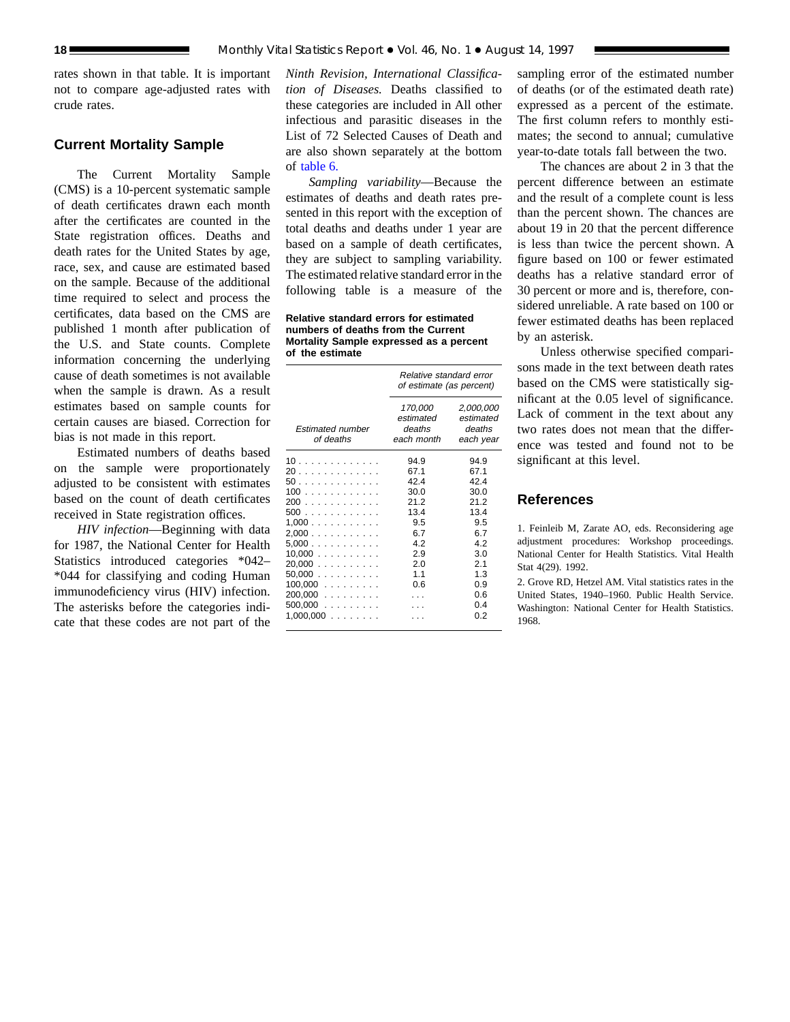rates shown in that table. It is important not to compare age-adjusted rates with crude rates.

## **Current Mortality Sample**

The Current Mortality Sample (CMS) is a 10-percent systematic sample of death certificates drawn each month after the certificates are counted in the State registration offices. Deaths and death rates for the United States by age, race, sex, and cause are estimated based on the sample. Because of the additional time required to select and process the certificates, data based on the CMS are published 1 month after publication of the U.S. and State counts. Complete information concerning the underlying cause of death sometimes is not available when the sample is drawn. As a result estimates based on sample counts for certain causes are biased. Correction for bias is not made in this report.

Estimated numbers of deaths based on the sample were proportionately adjusted to be consistent with estimates based on the count of death certificates received in State registration offices.

*HIV infection*—Beginning with data for 1987, the National Center for Health Statistics introduced categories \*042– \*044 for classifying and coding Human immunodeficiency virus (HIV) infection. The asterisks before the categories indicate that these codes are not part of the

*Ninth Revision, International Classification of Diseases.* Deaths classified to these categories are included in All other infectious and parasitic diseases in the List of 72 Selected Causes of Death and are also shown separately at the bottom of [table 6.](#page-12-0)

*Sampling variability*—Because the estimates of deaths and death rates presented in this report with the exception of total deaths and deaths under 1 year are based on a sample of death certificates, they are subject to sampling variability. The estimated relative standard error in the following table is a measure of the

**Relative standard errors for estimated numbers of deaths from the Current Mortality Sample expressed as a percent of the estimate**

| 170,000<br>estimated<br><b>Estimated number</b><br>deaths<br>of deaths<br>each month<br>94.9<br>94.9<br>67.1<br>67.1<br>42.4<br>42.4                                                                                                     |     | Relative standard error<br>of estimate (as percent) |                                               |  |
|------------------------------------------------------------------------------------------------------------------------------------------------------------------------------------------------------------------------------------------|-----|-----------------------------------------------------|-----------------------------------------------|--|
| 10<br>20<br>50                                                                                                                                                                                                                           |     |                                                     | 2,000,000<br>estimated<br>deaths<br>each year |  |
| 21.2<br>200<br>21.2<br>500<br>13.4<br>13.4<br>1,000<br>9.5<br>9.5<br>2,000<br>6.7<br>6.7<br>5.000<br>4.2<br>4.2<br>10,000<br>2.9<br>3.0<br>20.000<br>2.0<br>2.1<br>$50,000$<br>1.1<br>1.3<br>$100,000$<br>0.6<br>0.9<br>$200,000$<br>0.6 | 100 | 30.0                                                | 30.0                                          |  |
| $500,000$<br>0.4<br>$1,000,000$<br>0.2                                                                                                                                                                                                   |     |                                                     |                                               |  |

sampling error of the estimated number of deaths (or of the estimated death rate) expressed as a percent of the estimate. The first column refers to monthly estimates; the second to annual; cumulative year-to-date totals fall between the two.

The chances are about 2 in 3 that the percent difference between an estimate and the result of a complete count is less than the percent shown. The chances are about 19 in 20 that the percent difference is less than twice the percent shown. A figure based on 100 or fewer estimated deaths has a relative standard error of 30 percent or more and is, therefore, considered unreliable. A rate based on 100 or fewer estimated deaths has been replaced by an asterisk.

Unless otherwise specified comparisons made in the text between death rates based on the CMS were statistically significant at the 0.05 level of significance. Lack of comment in the text about any two rates does not mean that the difference was tested and found not to be significant at this level.

## **References**

1. Feinleib M, Zarate AO, eds. Reconsidering age adjustment procedures: Workshop proceedings. National Center for Health Statistics. Vital Health Stat 4(29). 1992.

2. Grove RD, Hetzel AM. Vital statistics rates in the United States, 1940–1960. Public Health Service. Washington: National Center for Health Statistics. 1968.